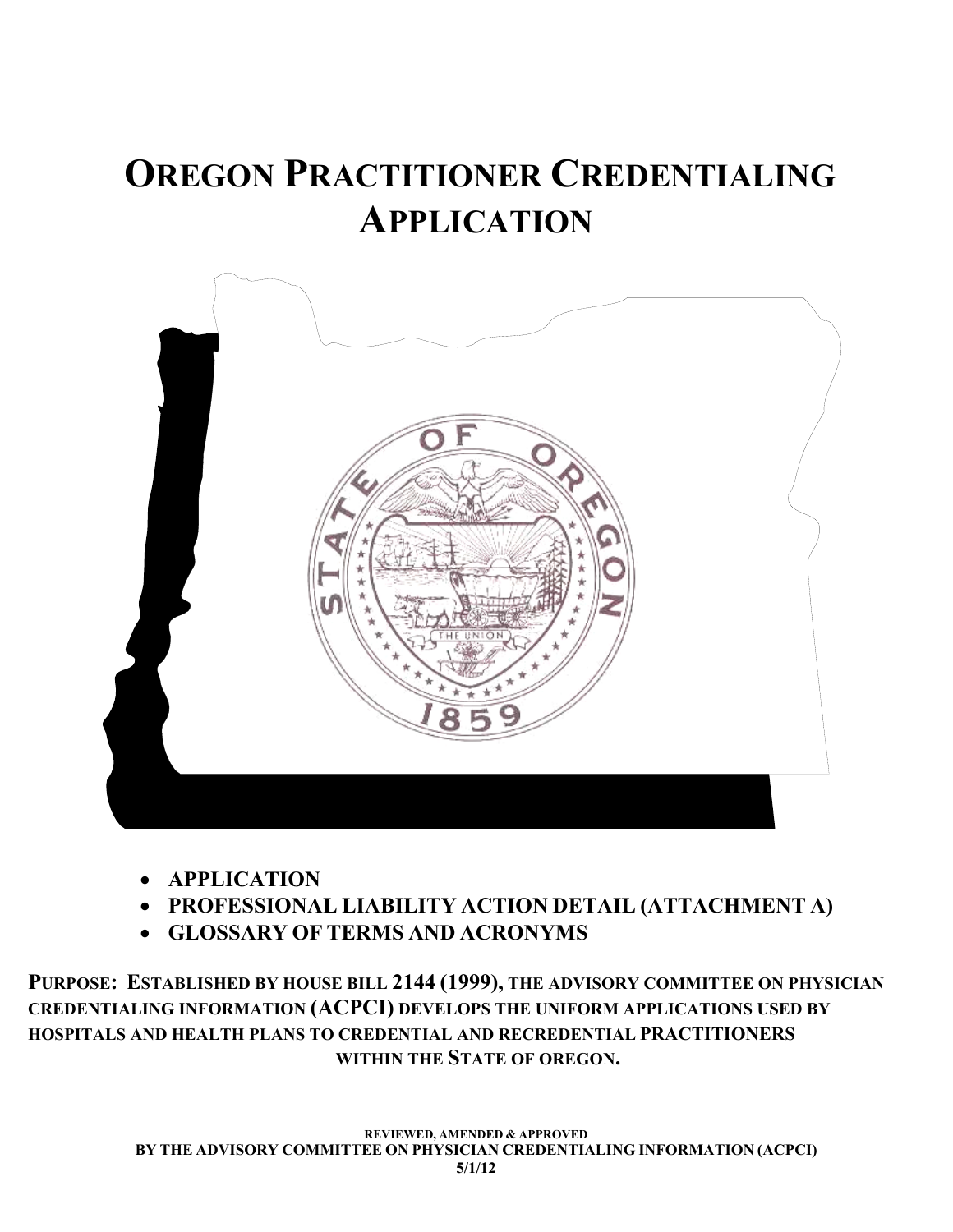# **OREGON PRACTITIONER CREDENTIALING APPLICATION**



- **APPLICATION**
- **PROFESSIONAL LIABILITY ACTION DETAIL (ATTACHMENT A)**
- **GLOSSARY OF TERMS AND ACRONYMS**

**PURPOSE: ESTABLISHED BY HOUSE BILL 2144 (1999), THE ADVISORY COMMITTEE ON PHYSICIAN CREDENTIALING INFORMATION (ACPCI) DEVELOPS THE UNIFORM APPLICATIONS USED BY HOSPITALS AND HEALTH PLANS TO CREDENTIAL AND RECREDENTIAL PRACTITIONERS WITHIN THE STATE OF OREGON.**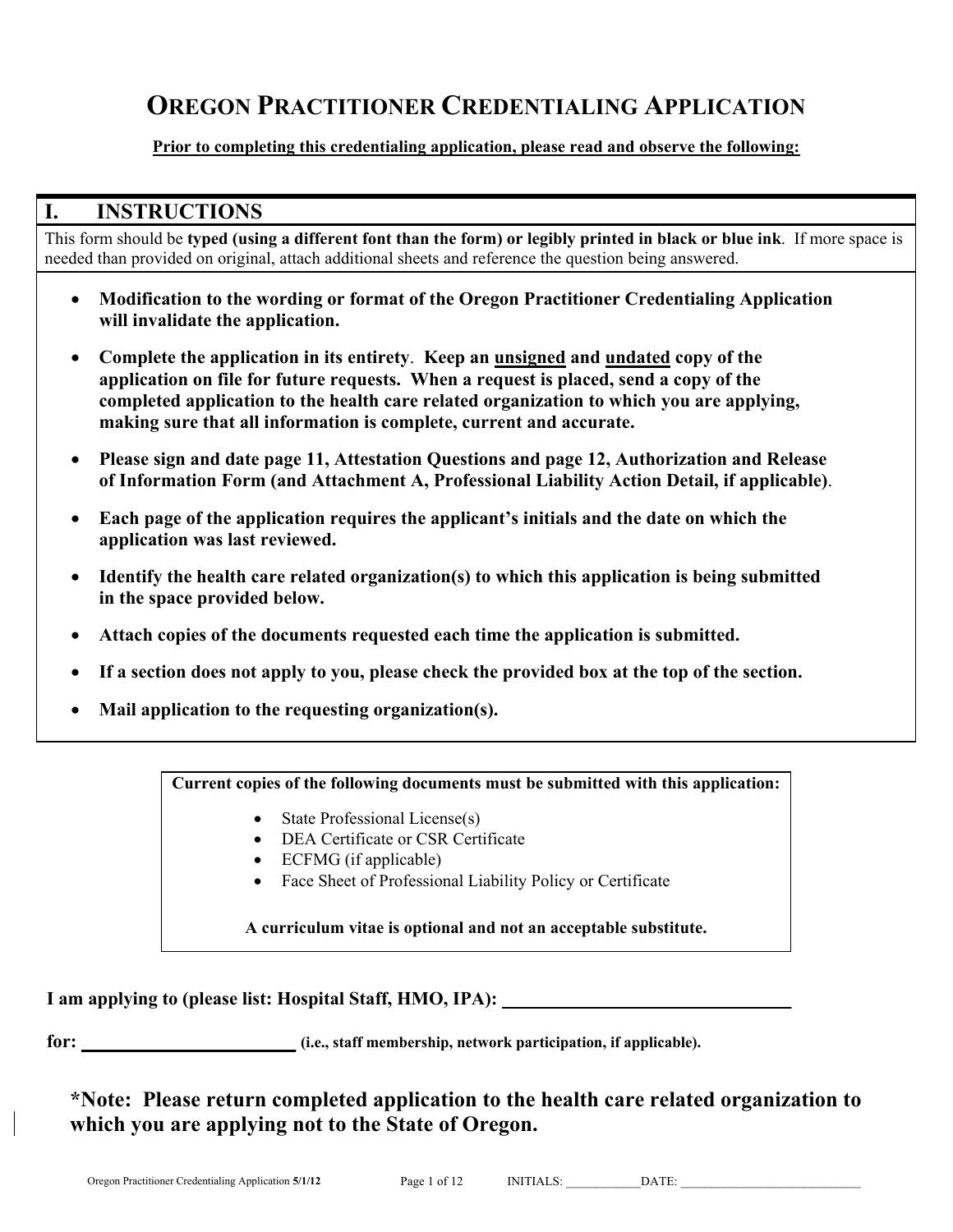# **OREGON PRACTITIONER CREDENTIALING APPLICATION**

#### **Prior to completing this credentialing application, please read and observe the following:**

### **I. INSTRUCTIONS**

This form should be **typed (using a different font than the form) or legibly printed in black or blue ink**. If more space is needed than provided on original, attach additional sheets and reference the question being answered.

- **Modification to the wording or format of the Oregon Practitioner Credentialing Application will invalidate the application.**
- **Complete the application in its entirety**. **Keep an unsigned and undated copy of the application on file for future requests. When a request is placed, send a copy of the completed application to the health care related organization to which you are applying, making sure that all information is complete, current and accurate.**
- **Please sign and date page 11, Attestation Questions and page 12, Authorization and Release of Information Form (and Attachment A, Professional Liability Action Detail, if applicable)**.
- **Each page of the application requires the applicant's initials and the date on which the application was last reviewed.**
- **Identify the health care related organization(s) to which this application is being submitted in the space provided below.**
- **Attach copies of the documents requested each time the application is submitted.**
- **If a section does not apply to you, please check the provided box at the top of the section.**
- **Mail application to the requesting organization(s).**

**Current copies of the following documents must be submitted with this application:** 

- State Professional License(s)
	- DEA Certificate or CSR Certificate
- ECFMG (if applicable)
- Face Sheet of Professional Liability Policy or Certificate

**A curriculum vitae is optional and not an acceptable substitute.**

**I** am applying to (please list: Hospital Staff, HMO, IPA):

for: *die., staff membership, network participation, if applicable).* 

**\*Note: Please return completed application to the health care related organization to which you are applying not to the State of Oregon.**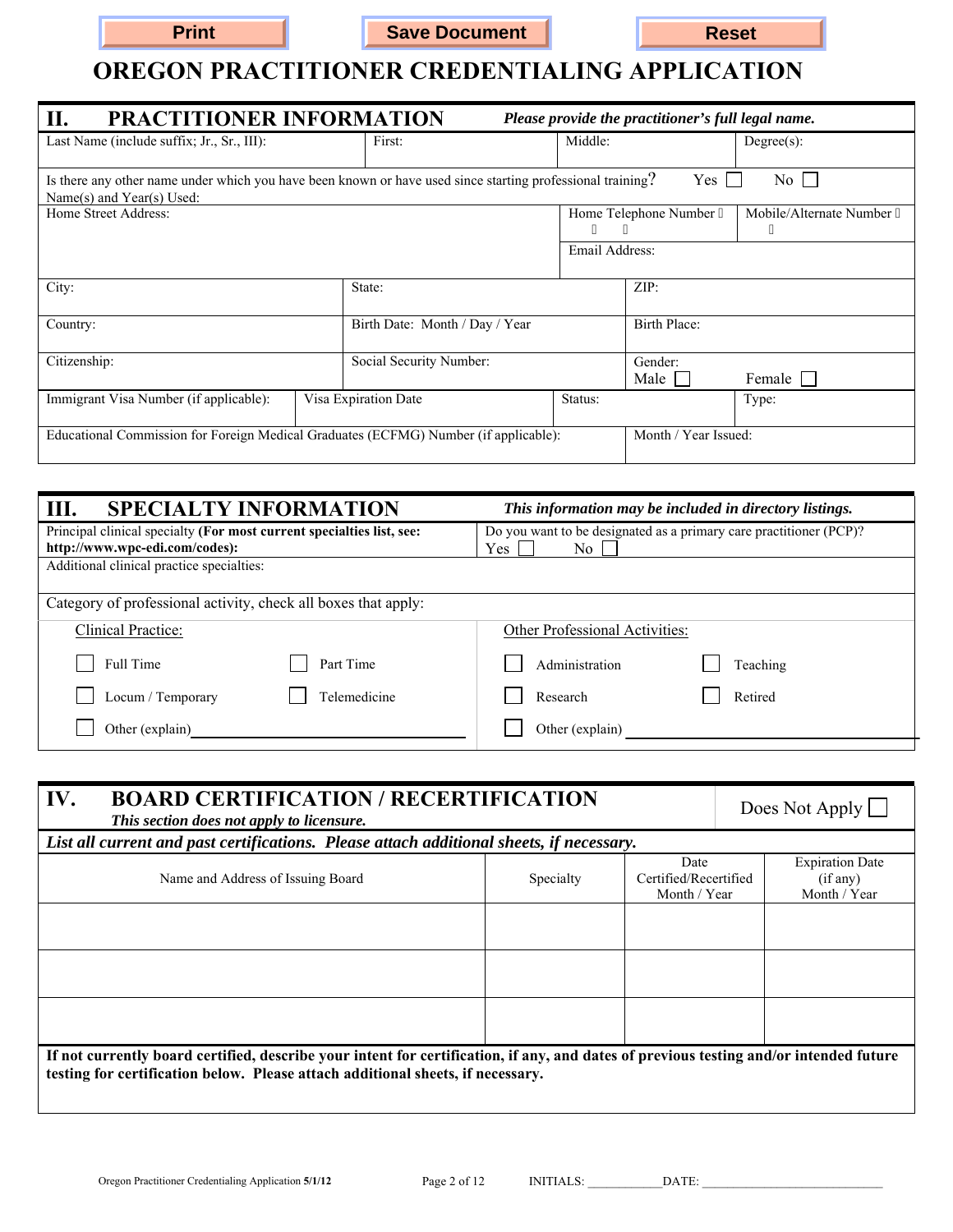

# **OREGON PRACTITIONER CREDENTIALING APPLICATION**

| <b>PRACTITIONER INFORMATION</b><br>П.<br>Please provide the practitioner's full legal name.                                                            |                                |  |                              |                                             |  |  |  |
|--------------------------------------------------------------------------------------------------------------------------------------------------------|--------------------------------|--|------------------------------|---------------------------------------------|--|--|--|
| Last Name (include suffix; Jr., Sr., III):                                                                                                             | First:                         |  | Middle:                      | $Degree(s)$ :                               |  |  |  |
| No<br>Is there any other name under which you have been known or have used since starting professional training?<br>Yes 1<br>Name(s) and Year(s) Used: |                                |  |                              |                                             |  |  |  |
| Home Street Address:                                                                                                                                   |                                |  | Home Telephone Number A<br>A | Mobile/Alternate Number A<br>$\overline{A}$ |  |  |  |
|                                                                                                                                                        |                                |  | Email Address:               |                                             |  |  |  |
| City:                                                                                                                                                  | State:                         |  | ZIP:                         |                                             |  |  |  |
| Country:                                                                                                                                               | Birth Date: Month / Day / Year |  | Birth Place:                 |                                             |  |  |  |
| Citizenship:                                                                                                                                           | Social Security Number:        |  | Gender:<br>Male              | Female                                      |  |  |  |
| Immigrant Visa Number (if applicable):                                                                                                                 | Visa Expiration Date           |  | Status:                      | Type:                                       |  |  |  |
| Educational Commission for Foreign Medical Graduates (ECFMG) Number (if applicable):                                                                   |                                |  | Month / Year Issued:         |                                             |  |  |  |

| <b>SPECIALTY INFORMATION</b><br>Ш.                                                                      | This information may be included in directory listings.                         |
|---------------------------------------------------------------------------------------------------------|---------------------------------------------------------------------------------|
| Principal clinical specialty (For most current specialties list, see:<br>http://www.wpc-edi.com/codes): | Do you want to be designated as a primary care practitioner (PCP)?<br>$\rm{No}$ |
| Additional clinical practice specialties:                                                               | Yes                                                                             |
|                                                                                                         |                                                                                 |
| Category of professional activity, check all boxes that apply:                                          |                                                                                 |
| <b>Clinical Practice:</b>                                                                               | Other Professional Activities:                                                  |
| Part Time<br>Full Time                                                                                  | Administration<br>Teaching                                                      |
| Locum / Temporary<br>Telemedicine                                                                       | Retired<br>Research                                                             |
| Other (explain)                                                                                         | Other (explain)                                                                 |

| IV.<br><b>BOARD CERTIFICATION / RECERTIFICATION</b><br>This section does not apply to licensure.                                                                                                                          |  | Does Not Apply |  |                                                    |  |
|---------------------------------------------------------------------------------------------------------------------------------------------------------------------------------------------------------------------------|--|----------------|--|----------------------------------------------------|--|
| List all current and past certifications. Please attach additional sheets, if necessary.                                                                                                                                  |  |                |  |                                                    |  |
| Date<br>Certified/Recertified<br>Name and Address of Issuing Board<br>Specialty<br>Month / Year                                                                                                                           |  |                |  | <b>Expiration Date</b><br>(if any)<br>Month / Year |  |
|                                                                                                                                                                                                                           |  |                |  |                                                    |  |
|                                                                                                                                                                                                                           |  |                |  |                                                    |  |
|                                                                                                                                                                                                                           |  |                |  |                                                    |  |
| If not currently board certified, describe your intent for certification, if any, and dates of previous testing and/or intended future<br>testing for certification below. Please attach additional sheets, if necessary. |  |                |  |                                                    |  |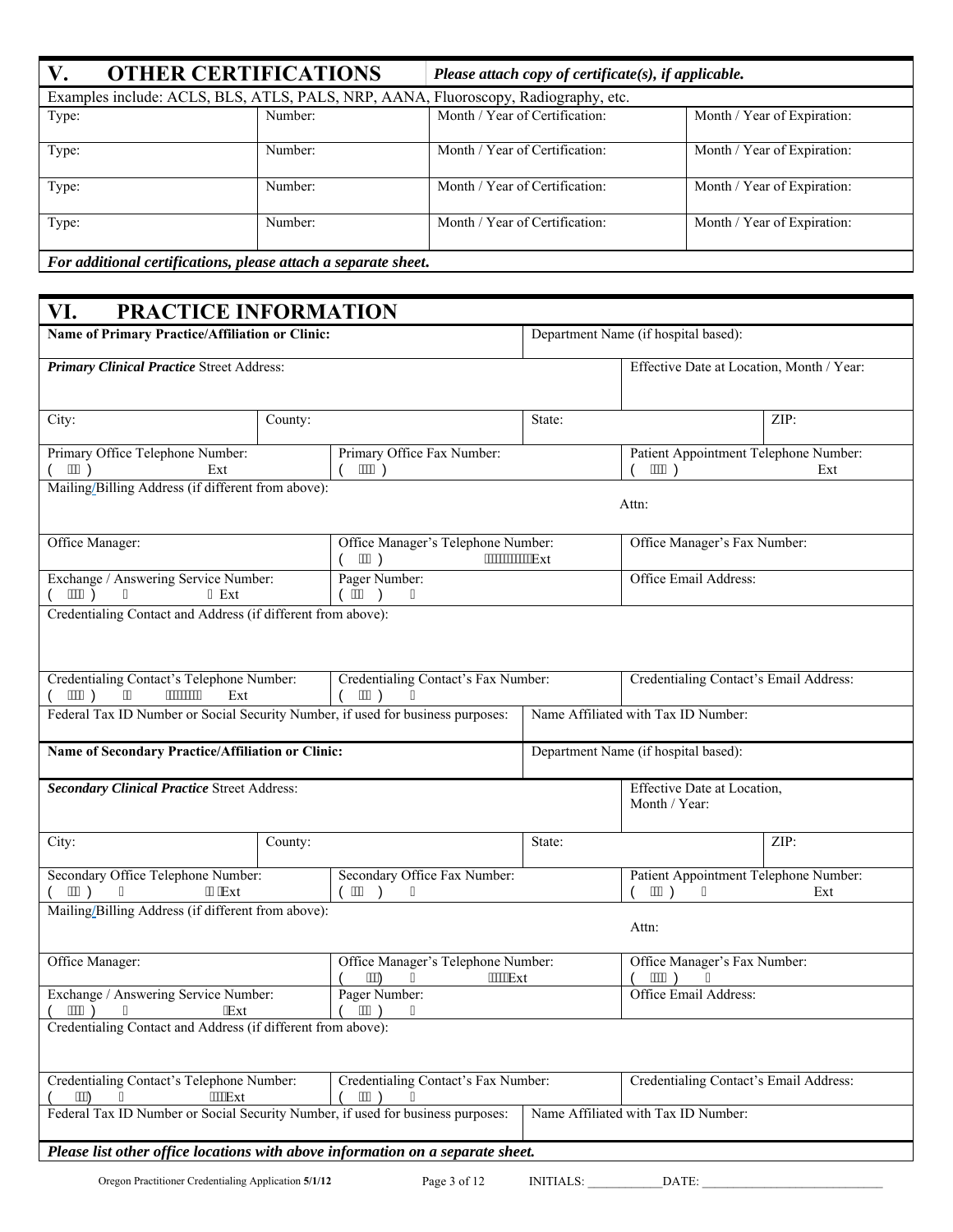| <b>OTHER CERTIFICATIONS</b><br>$V_{\bullet}$                                       |         | Please attach copy of certificate(s), if applicable. |                             |  |  |
|------------------------------------------------------------------------------------|---------|------------------------------------------------------|-----------------------------|--|--|
| Examples include: ACLS, BLS, ATLS, PALS, NRP, AANA, Fluoroscopy, Radiography, etc. |         |                                                      |                             |  |  |
| Type:                                                                              | Number: | Month / Year of Certification:                       | Month / Year of Expiration: |  |  |
| Type:                                                                              | Number: | Month / Year of Certification:                       | Month / Year of Expiration: |  |  |
| Type:                                                                              | Number: | Month / Year of Certification:                       | Month / Year of Expiration: |  |  |
| Type:                                                                              | Number: | Month / Year of Certification:                       | Month / Year of Expiration: |  |  |
| For additional certifications, please attach a separate sheet.                     |         |                                                      |                             |  |  |

| <b>PRACTICE INFORMATION</b><br>VI.                                                     |         |                                                               |                       |                                                      |      |
|----------------------------------------------------------------------------------------|---------|---------------------------------------------------------------|-----------------------|------------------------------------------------------|------|
| Name of Primary Practice/Affiliation or Clinic:                                        |         |                                                               |                       | Department Name (if hospital based):                 |      |
| <b>Primary Clinical Practice Street Address:</b>                                       |         |                                                               |                       | Effective Date at Location, Month / Year:            |      |
| City:                                                                                  | County: |                                                               | State:                |                                                      | ZIP: |
| Primary Office Telephone Number:<br>ÁÁÁ)<br>Ext                                        |         | Primary Office Fax Number:<br>ÁÁÁÁ)                           |                       | Patient Appointment Telephone Number:<br>ÁÁÁÁ)       | Ext  |
| Mailing/Billing Address (if different from above):                                     |         |                                                               |                       | Attn:                                                |      |
| Office Manager:                                                                        |         | Office Manager's Telephone Number:<br>ÁÁÓÓÓÓÓÓÓÓÓLEXt<br>ÁÁÁ) |                       | Office Manager's Fax Number:                         |      |
| Exchange / Answering Service Number:<br>ÁÁÁÁ)<br>Á Ext                                 |         | Pager Number:<br>(ÁÁÁ)                                        |                       | Office Email Address:                                |      |
| Credentialing Contact and Address (if different from above):                           |         |                                                               |                       |                                                      |      |
| Credentialing Contact's Telephone Number:<br>( MM)  MMMMM<br>ÁÓÓÓÓÓÓÓÁ<br>ÁÁÁÁ)<br>Ext |         | Credentialing Contact's Fax Number:<br>ÁÁÁ)                   |                       | Credentialing Contact's Email Address:               |      |
| Federal Tax ID Number or Social Security Number, if used for business purposes:        |         |                                                               |                       | Name Affiliated with Tax ID Number:                  |      |
| Name of Secondary Practice/Affiliation or Clinic:                                      |         |                                                               |                       | Department Name (if hospital based):                 |      |
| <b>Secondary Clinical Practice Street Address:</b>                                     |         |                                                               |                       | Effective Date at Location,<br>Month / Year:         |      |
| City:                                                                                  | County: |                                                               | State:                |                                                      | ZIP: |
| Secondary Office Telephone Number:<br>Á Ext<br>ÁÁÁ)                                    |         | Secondary Office Fax Number:<br>ÁÁÁ)                          |                       | Patient Appointment Telephone Number:<br>ÁÁÁ)<br>Ext |      |
| Mailing/Billing Address (if different from above):                                     |         |                                                               |                       | Attn:                                                |      |
| Office Manager:                                                                        |         | Office Manager's Telephone Number:<br>ÁÁÁÁÆxt<br>ÁÁÁ).        |                       | Office Manager's Fax Number:<br>ÁÁÁÁ)                |      |
| Pager Number:<br>Exchange / Answering Service Number:<br>AAAN.<br>AXA)<br>Æxt          |         |                                                               | Office Email Address: |                                                      |      |
| Credentialing Contact and Address (if different from above):                           |         |                                                               |                       |                                                      |      |
| Credentialing Contact's Telephone Number:<br><b>AAA</b> Ext<br>ΑΧΑ).                   |         | Credentialing Contact's Fax Number:<br>AAAN)                  |                       | Credentialing Contact's Email Address:               |      |
| Federal Tax ID Number or Social Security Number, if used for business purposes:        |         |                                                               |                       | Name Affiliated with Tax ID Number:                  |      |
| Please list other office locations with above information on a separate sheet.         |         |                                                               |                       |                                                      |      |
| Oregon Practitioner Credentialing Application 5/1/12                                   |         | Page 3 of 12                                                  | <b>INITIALS:</b>      | DATE:                                                |      |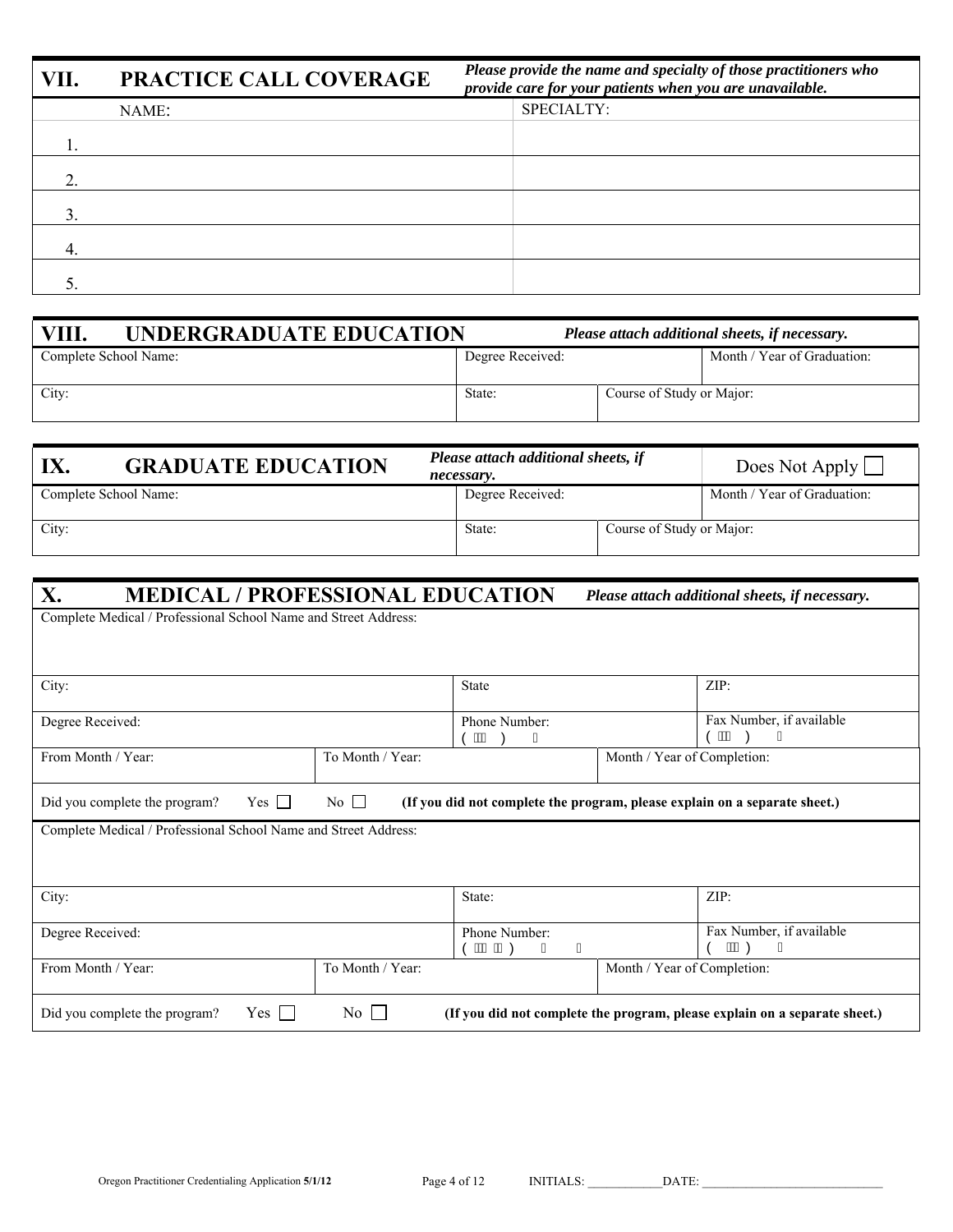| VII. | PRACTICE CALL COVERAGE | Please provide the name and specialty of those practitioners who<br>provide care for your patients when you are unavailable. |
|------|------------------------|------------------------------------------------------------------------------------------------------------------------------|
|      | NAME:                  | <b>SPECIALTY:</b>                                                                                                            |
|      |                        |                                                                                                                              |
|      |                        |                                                                                                                              |
|      |                        |                                                                                                                              |
|      |                        |                                                                                                                              |
|      |                        |                                                                                                                              |

| VIII.                 | <b>UNDERGRADUATE EDUCATION</b><br>Please attach additional sheets, if necessary. |                           |                             |  |  |
|-----------------------|----------------------------------------------------------------------------------|---------------------------|-----------------------------|--|--|
| Complete School Name: | Degree Received:                                                                 |                           | Month / Year of Graduation: |  |  |
| City:                 | State:                                                                           | Course of Study or Major: |                             |  |  |

| <b>GRADUATE EDUCATION</b> | Please attach additional sheets, if<br>necessary. | Does Not Apply              |
|---------------------------|---------------------------------------------------|-----------------------------|
| Complete School Name:     | Degree Received:                                  | Month / Year of Graduation: |
| City:                     | State:                                            | Course of Study or Major:   |

| X.<br><b>MEDICAL / PROFESSIONAL EDUCATION</b>                   |                  |                                                                            |                             | Please attach additional sheets, if necessary.                             |  |
|-----------------------------------------------------------------|------------------|----------------------------------------------------------------------------|-----------------------------|----------------------------------------------------------------------------|--|
| Complete Medical / Professional School Name and Street Address: |                  |                                                                            |                             |                                                                            |  |
|                                                                 |                  |                                                                            |                             |                                                                            |  |
|                                                                 |                  |                                                                            |                             |                                                                            |  |
| City:                                                           |                  | <b>State</b>                                                               |                             | ZIP:                                                                       |  |
| Degree Received:                                                |                  | Phone Number:                                                              |                             | Fax Number, if available                                                   |  |
|                                                                 |                  | ÁÁÁ                                                                        |                             | ÁÁÁ                                                                        |  |
| From Month / Year:                                              | To Month / Year: |                                                                            | Month / Year of Completion: |                                                                            |  |
|                                                                 |                  |                                                                            |                             |                                                                            |  |
| Yes $\Box$<br>Did you complete the program?                     | No $\Box$        | (If you did not complete the program, please explain on a separate sheet.) |                             |                                                                            |  |
| Complete Medical / Professional School Name and Street Address: |                  |                                                                            |                             |                                                                            |  |
|                                                                 |                  |                                                                            |                             |                                                                            |  |
|                                                                 |                  |                                                                            |                             |                                                                            |  |
| City:                                                           |                  | State:                                                                     |                             | ZIP:                                                                       |  |
| Degree Received:                                                |                  | Phone Number:                                                              |                             | Fax Number, if available                                                   |  |
|                                                                 |                  | ÁÁÁÁ)<br>11                                                                |                             | ÁÁÁ)                                                                       |  |
| From Month / Year:                                              | To Month / Year: |                                                                            | Month / Year of Completion: |                                                                            |  |
|                                                                 |                  |                                                                            |                             |                                                                            |  |
| $Yes \Box$<br>Did you complete the program?                     | $\overline{N_0}$ |                                                                            |                             | (If you did not complete the program, please explain on a separate sheet.) |  |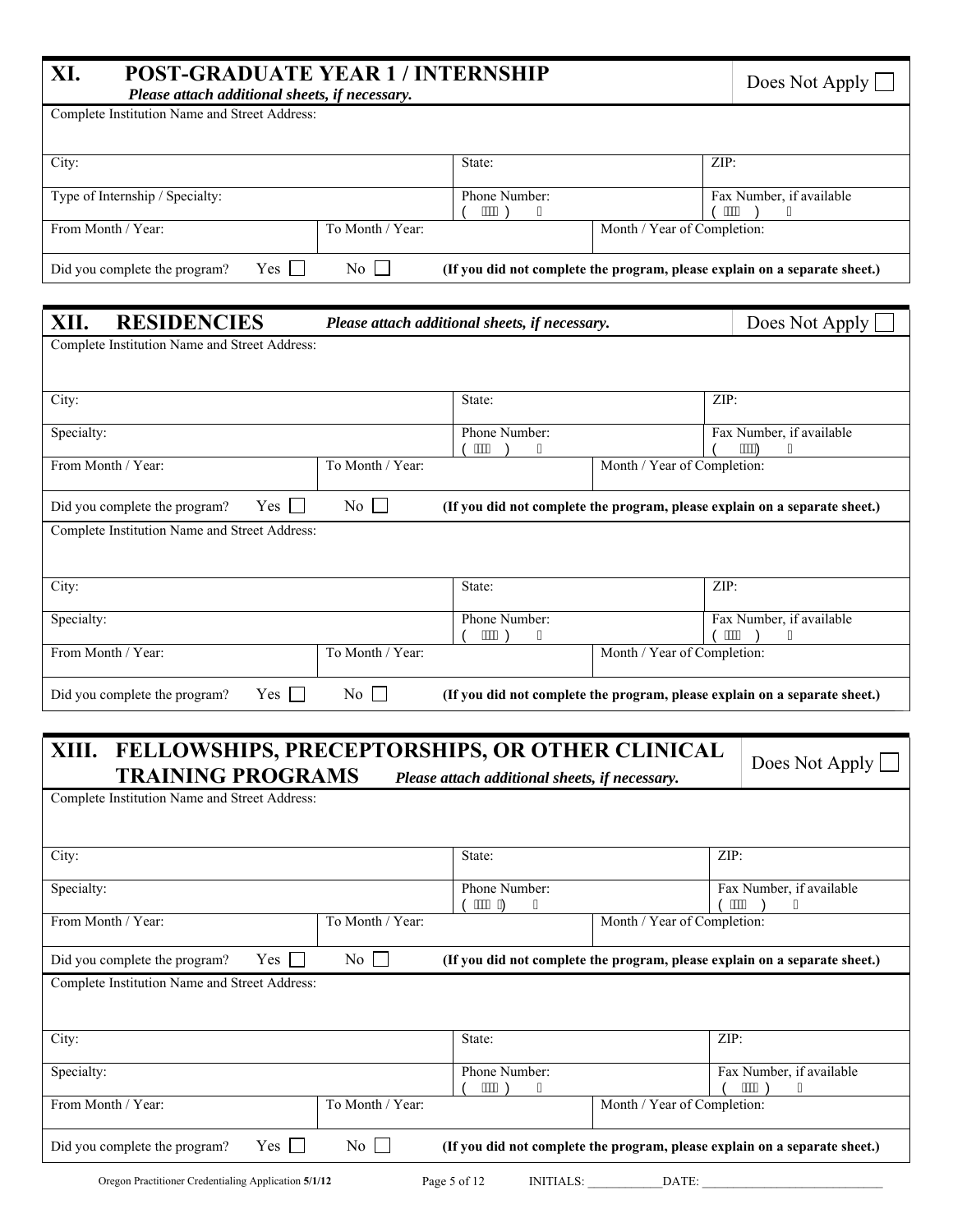| <b>POST-GRADUATE YEAR 1 / INTERNSHIP</b><br>XI.<br>Please attach additional sheets, if necessary. |                  | Does Not Apply $\Box$                                                      |                             |      |                          |  |
|---------------------------------------------------------------------------------------------------|------------------|----------------------------------------------------------------------------|-----------------------------|------|--------------------------|--|
| Complete Institution Name and Street Address:                                                     |                  |                                                                            |                             |      |                          |  |
|                                                                                                   |                  |                                                                            |                             |      |                          |  |
| City:<br>State:<br>ZIP:                                                                           |                  |                                                                            |                             |      |                          |  |
| Type of Internship / Specialty:                                                                   |                  | Phone Number:<br>ÁÁÁÁ,`                                                    |                             | ÁÁÁÁ | Fax Number, if available |  |
| From Month / Year:                                                                                | To Month / Year: |                                                                            | Month / Year of Completion: |      |                          |  |
| Yes 1<br>Did you complete the program?                                                            | $\overline{N_0}$ | (If you did not complete the program, please explain on a separate sheet.) |                             |      |                          |  |
|                                                                                                   |                  |                                                                            |                             |      |                          |  |

| XII.<br><b>RESIDENCIES</b>                    | Please attach additional sheets, if necessary. | Does Not Apply                                                             |                             |                                                                            |  |
|-----------------------------------------------|------------------------------------------------|----------------------------------------------------------------------------|-----------------------------|----------------------------------------------------------------------------|--|
| Complete Institution Name and Street Address: |                                                |                                                                            |                             |                                                                            |  |
|                                               |                                                |                                                                            |                             |                                                                            |  |
| City:                                         |                                                | State:                                                                     |                             | ZIP:                                                                       |  |
| Specialty:                                    |                                                | Phone Number:<br>ÄÄÄA.                                                     |                             | Fax Number, if available<br>ÄЖÀ                                            |  |
| From Month / Year:                            | To Month / Year:                               |                                                                            | Month / Year of Completion: |                                                                            |  |
| Yes    <br>Did you complete the program?      | $\overline{N_0}$                               |                                                                            |                             | (If you did not complete the program, please explain on a separate sheet.) |  |
| Complete Institution Name and Street Address: |                                                |                                                                            |                             |                                                                            |  |
|                                               |                                                |                                                                            |                             |                                                                            |  |
| City:                                         |                                                | State:                                                                     |                             | ZIP:                                                                       |  |
| Specialty:                                    |                                                | Phone Number:<br>ÄÄÄA.                                                     |                             | Fax Number, if available<br>ÁÁÁÁ                                           |  |
| From Month / Year:                            | To Month / Year:                               |                                                                            | Month / Year of Completion: |                                                                            |  |
| Yes    <br>Did you complete the program?      | No                                             | (If you did not complete the program, please explain on a separate sheet.) |                             |                                                                            |  |

| FELLOWSHIPS, PRECEPTORSHIPS, OR OTHER CLINICAL<br>XIII.                                                                                        | Does Not Apply $\Box$                                     |                                                |  |                                                                            |  |
|------------------------------------------------------------------------------------------------------------------------------------------------|-----------------------------------------------------------|------------------------------------------------|--|----------------------------------------------------------------------------|--|
| <b>TRAINING PROGRAMS</b>                                                                                                                       |                                                           | Please attach additional sheets, if necessary. |  |                                                                            |  |
| Complete Institution Name and Street Address:                                                                                                  |                                                           |                                                |  |                                                                            |  |
|                                                                                                                                                |                                                           |                                                |  |                                                                            |  |
| City:                                                                                                                                          |                                                           | State:                                         |  | ZIP:                                                                       |  |
| Specialty:                                                                                                                                     |                                                           | Phone Number:<br>ÁÁÁÁÁÁ                        |  | Fax Number, if available<br>ÁÁÁÁ                                           |  |
| From Month / Year:                                                                                                                             | To Month / Year:                                          | Month / Year of Completion:                    |  |                                                                            |  |
| $Yes$    <br>Did you complete the program?                                                                                                     | $\overline{N_0}$ $\Box$                                   |                                                |  | (If you did not complete the program, please explain on a separate sheet.) |  |
| Complete Institution Name and Street Address:                                                                                                  |                                                           |                                                |  |                                                                            |  |
| City:                                                                                                                                          |                                                           | State:                                         |  | ZIP:                                                                       |  |
| Specialty:                                                                                                                                     | Phone Number:<br>Fax Number, if available<br>ÁÁÁÁ<br>ÁÁÁÁ |                                                |  |                                                                            |  |
| From Month / Year:<br>To Month / Year:<br>Month / Year of Completion:                                                                          |                                                           |                                                |  |                                                                            |  |
| Yes 1<br>$\overline{N_0}$<br>Did you complete the program?<br>(If you did not complete the program, please explain on a separate sheet.)<br>I. |                                                           |                                                |  |                                                                            |  |
| Oregon Practitioner Credentialing Application 5/1/12<br><b>INITIALS:</b><br>DATE:<br>Page 5 of 12                                              |                                                           |                                                |  |                                                                            |  |

| Page 5 of 12 |  |
|--------------|--|
|--------------|--|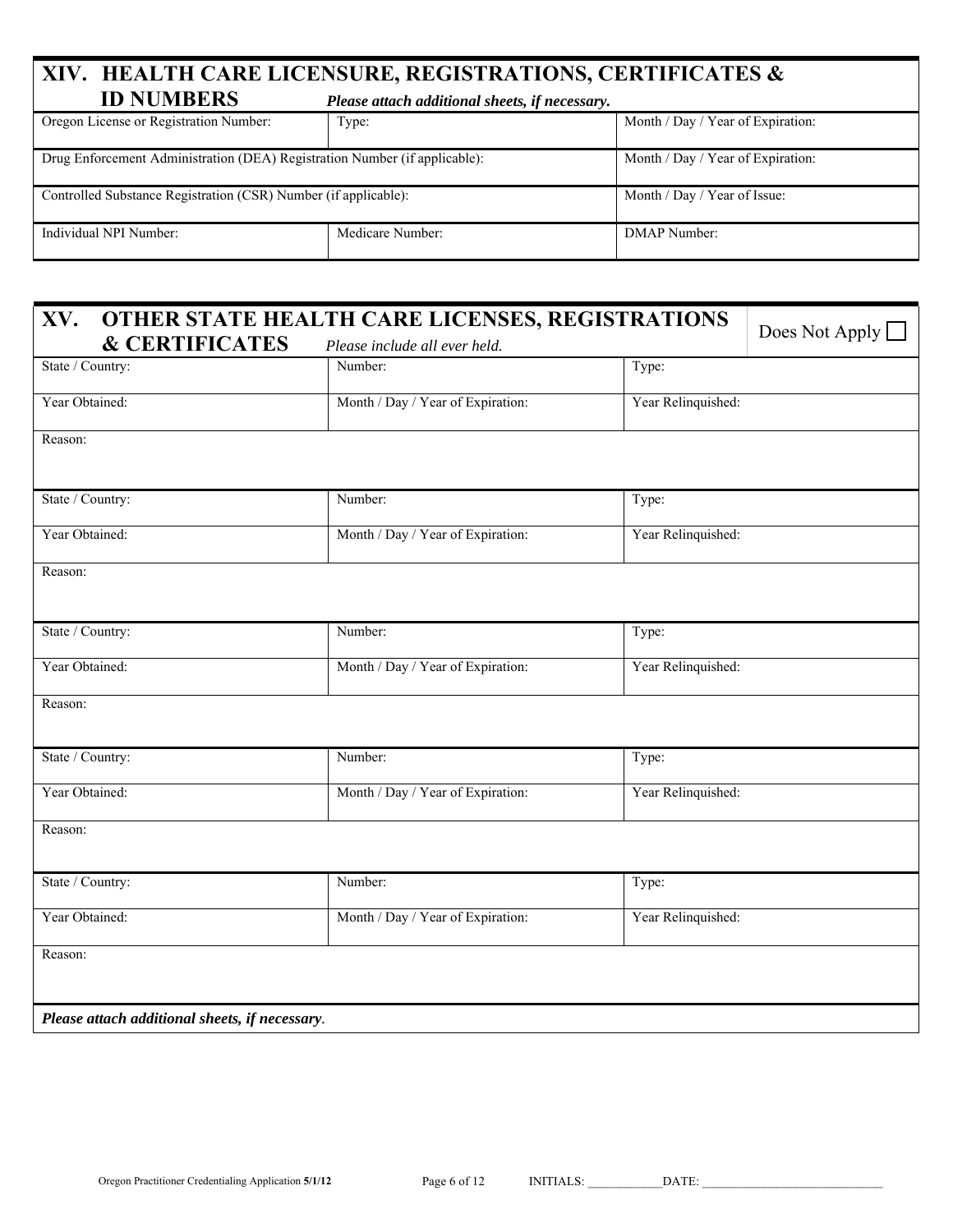## **XIV. HEALTH CARE LICENSURE, REGISTRATIONS, CERTIFICATES & ID NUMBERS** *Please attach additional sheets, if necessary.*

| TO TORIDDIW<br>I leuse unuch adullionul sheets, y hecessary.               |                                   |                                   |  |  |  |
|----------------------------------------------------------------------------|-----------------------------------|-----------------------------------|--|--|--|
| Oregon License or Registration Number:                                     | Type:                             | Month / Day / Year of Expiration: |  |  |  |
| Drug Enforcement Administration (DEA) Registration Number (if applicable): | Month / Day / Year of Expiration: |                                   |  |  |  |
| Controlled Substance Registration (CSR) Number (if applicable):            |                                   | Month / Day / Year of Issue:      |  |  |  |
| Individual NPI Number:                                                     | Medicare Number:                  | DMAP Number:                      |  |  |  |

| <b>&amp; CERTIFICATES</b> | Please include all ever held.     | Does Not Apply $\Box$ |
|---------------------------|-----------------------------------|-----------------------|
| State / Country:          | Number:                           | Type:                 |
| Year Obtained:            | Month / Day / Year of Expiration: | Year Relinquished:    |
| Reason:                   |                                   |                       |
| State / Country:          | Number:                           | Type:                 |
| Year Obtained:            | Month / Day / Year of Expiration: | Year Relinquished:    |
| Reason:                   |                                   |                       |
| State / Country:          | Number:                           | Type:                 |
| Year Obtained:            | Month / Day / Year of Expiration: | Year Relinquished:    |
| Reason:                   |                                   |                       |
| State / Country:          | Number:                           | Type:                 |
| Year Obtained:            | Month / Day / Year of Expiration: | Year Relinquished:    |
| Reason:                   |                                   |                       |
| State / Country:          | Number:                           | Type:                 |
| Year Obtained:            | Month / Day / Year of Expiration: | Year Relinquished:    |
| Reason:                   |                                   |                       |
|                           |                                   |                       |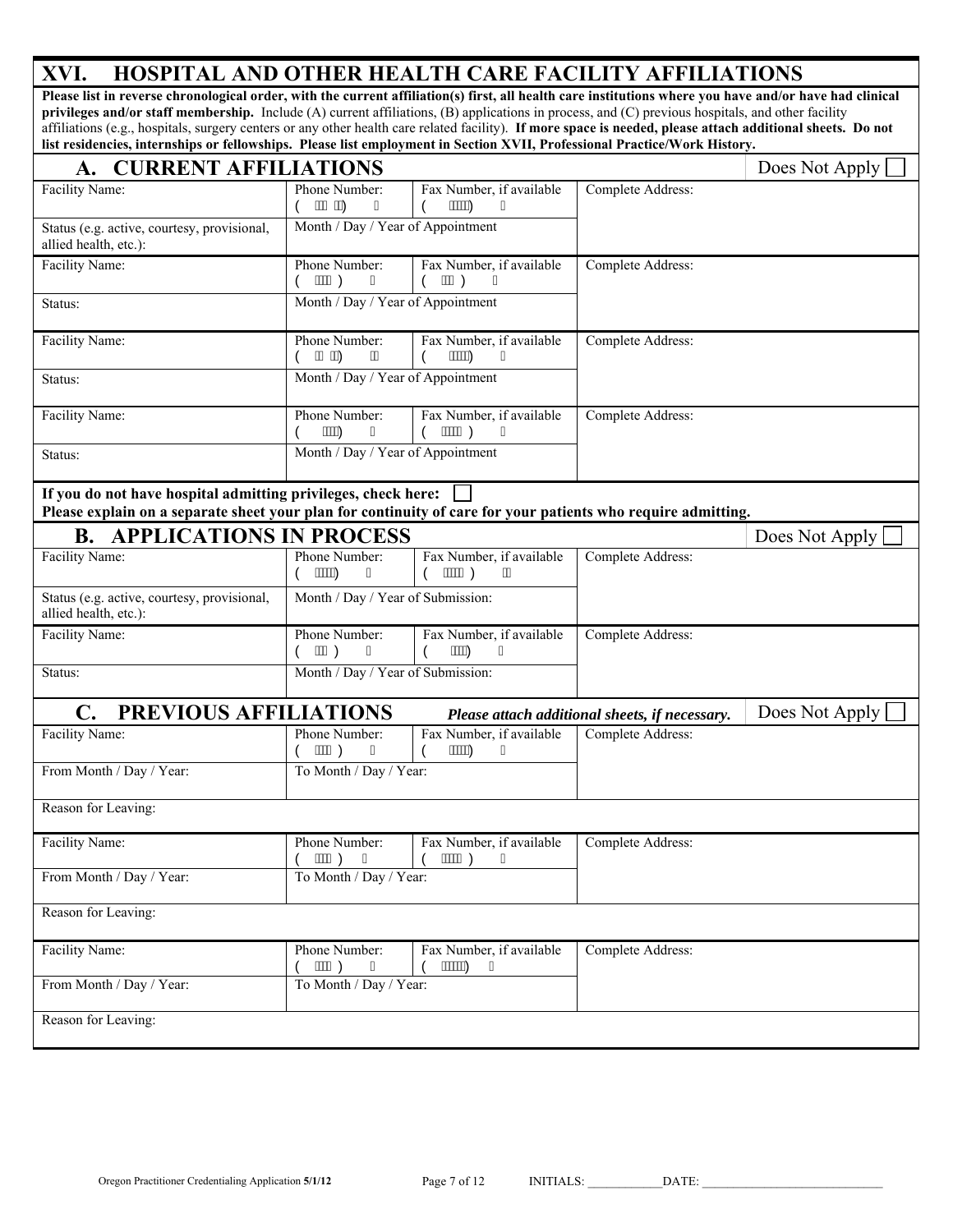# **XVI. HOSPITAL AND OTHER HEALTH CARE FACILITY AFFILIATIONS**

**Please list in reverse chronological order, with the current affiliation(s) first, all health care institutions where you have and/or have had clinical privileges and/or staff membership.** Include (A) current affiliations, (B) applications in process, and (C) previous hospitals, and other facility affiliations (e.g., hospitals, surgery centers or any other health care related facility). **If more space is needed, please attach additional sheets. Do not list residencies, internships or fellowships. Please list employment in Section XVII, Professional Practice/Work History.** 

| нэг геяценстея, нистиянрэ от тено озигря, 3 теаяс ня сигрто унгент нгэссион 2х си, 1 гогояючаг 1 гасисе 77 от к тимог<br><b>CURRENT AFFILIATIONS</b><br>A.                    |                                   |                                        |                                                | Does Not Apply |
|-------------------------------------------------------------------------------------------------------------------------------------------------------------------------------|-----------------------------------|----------------------------------------|------------------------------------------------|----------------|
| Facility Name:                                                                                                                                                                | Phone Number:<br>ÁÁÁÁÁÁ           | Fax Number, if available<br>ÁÁÁÁÁ      | Complete Address:                              |                |
| Status (e.g. active, courtesy, provisional,<br>allied health, etc.):                                                                                                          | Month / Day / Year of Appointment |                                        |                                                |                |
| Facility Name:                                                                                                                                                                | Phone Number:<br>ÁÁÁÁ)            | Fax Number, if available<br>ÁÁÁ)       | Complete Address:                              |                |
| Status:                                                                                                                                                                       | Month / Day / Year of Appointment |                                        |                                                |                |
| Facility Name:                                                                                                                                                                | Phone Number:<br>ÁÁÁÁ             | Fax Number, if available<br>ÁÁÁÁÁ<br>Α | Complete Address:                              |                |
| Status:                                                                                                                                                                       | Month / Day / Year of Appointment |                                        |                                                |                |
| Facility Name:                                                                                                                                                                | Phone Number:<br>ÁÁÁÁ             | Fax Number, if available<br>ÁÁÁÁÁ)     | Complete Address:                              |                |
| Status:                                                                                                                                                                       | Month / Day / Year of Appointment |                                        |                                                |                |
| If you do not have hospital admitting privileges, check here:<br>Please explain on a separate sheet your plan for continuity of care for your patients who require admitting. |                                   |                                        |                                                |                |
| <b>B. APPLICATIONS IN PROCESS</b>                                                                                                                                             |                                   |                                        |                                                | Does Not Apply |
| Facility Name:                                                                                                                                                                | Phone Number:<br>ÁÁÁÁÁ            | Fax Number, if available<br>ÁÁÁÁÁ)     | Complete Address:                              |                |
| Status (e.g. active, courtesy, provisional,<br>allied health, etc.):                                                                                                          | Month / Day / Year of Submission: |                                        |                                                |                |
| Facility Name:                                                                                                                                                                | Phone Number:<br>ÁÁÁ)<br>Á        | Fax Number, if available<br>ÁÁÁÁ<br>Α  | Complete Address:                              |                |
| Status:                                                                                                                                                                       | Month / Day / Year of Submission: |                                        |                                                |                |
| PREVIOUS AFFILIATIONS<br>$\mathbf{C}$ .                                                                                                                                       |                                   |                                        | Please attach additional sheets, if necessary. | Does Not Apply |
| Facility Name:                                                                                                                                                                | Phone Number:<br>ÁÁÁÁ)<br>Α       | Fax Number, if available<br>ÁÁÁÁÁ      | Complete Address:                              |                |
| From Month / Day / Year:                                                                                                                                                      | To Month / Day / Year:            |                                        |                                                |                |
| Reason for Leaving:                                                                                                                                                           |                                   |                                        |                                                |                |
| Facility Name:                                                                                                                                                                | Phone Number:<br>ÁÁÁÁ)            | Fax Number, if available<br>ÁÁÁÁ)      | Complete Address:                              |                |
| From Month / Day / Year:                                                                                                                                                      | To Month / Day / Year:            |                                        |                                                |                |
| Reason for Leaving:                                                                                                                                                           |                                   |                                        |                                                |                |
| Facility Name:                                                                                                                                                                | Phone Number:<br>ÁÁÁÁ)            | Fax Number, if available<br>ÁÁÁÁÁÁ     | Complete Address:                              |                |
| From Month / Day / Year:                                                                                                                                                      | To Month / Day / Year:            |                                        |                                                |                |
| Reason for Leaving:                                                                                                                                                           |                                   |                                        |                                                |                |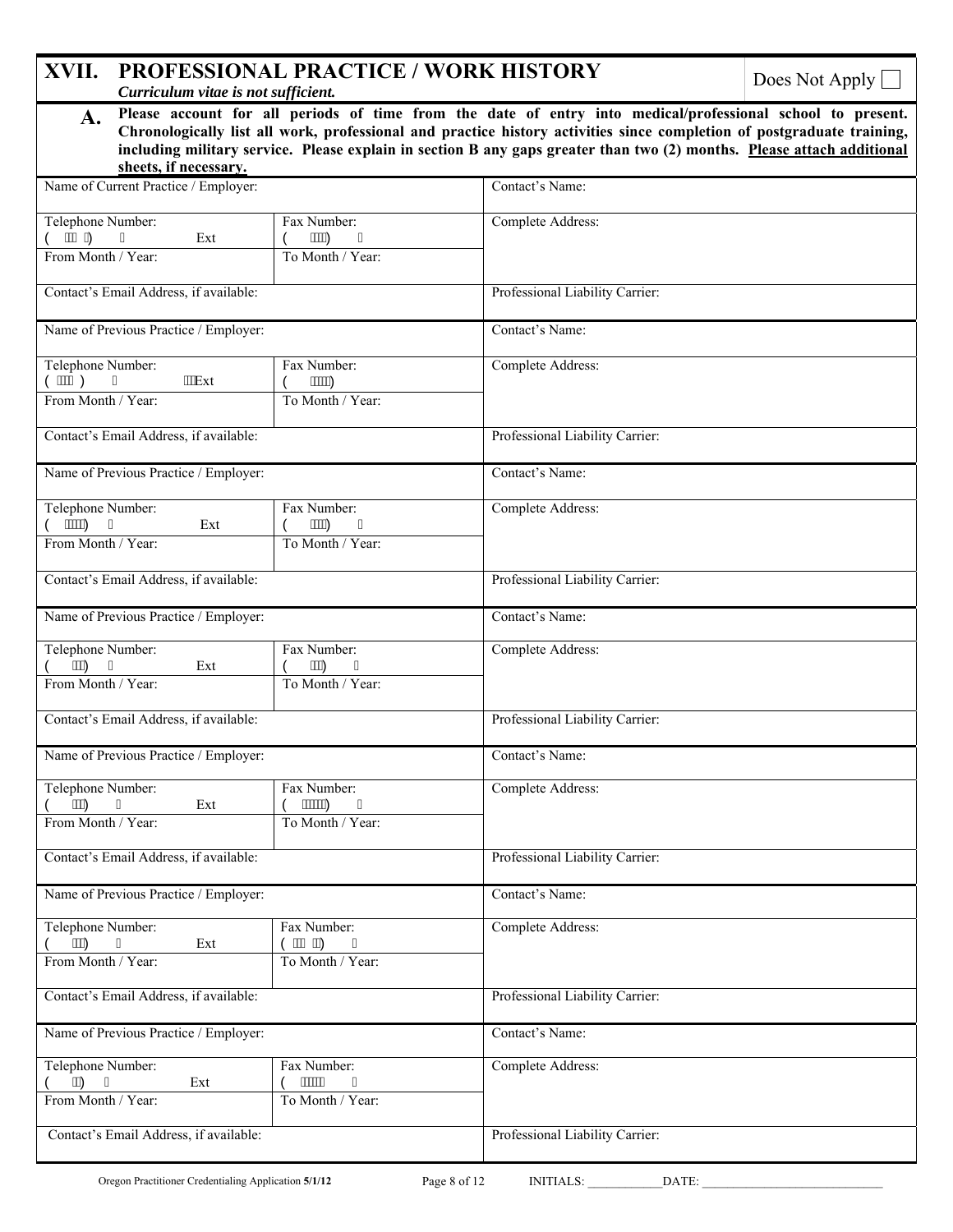| XVII.<br><b>PROFESSIONAL PRACTICE / WORK HISTORY</b><br>Curriculum vitae is not sufficient.                                                                                                                                                                                                                                                                                                               |                                           |                                 | Does Not Apply $\Box$ |
|-----------------------------------------------------------------------------------------------------------------------------------------------------------------------------------------------------------------------------------------------------------------------------------------------------------------------------------------------------------------------------------------------------------|-------------------------------------------|---------------------------------|-----------------------|
| Please account for all periods of time from the date of entry into medical/professional school to present.<br>$\mathbf{A}$ .<br>Chronologically list all work, professional and practice history activities since completion of postgraduate training,<br>including military service. Please explain in section B any gaps greater than two (2) months. Please attach additional<br>sheets, if necessary. |                                           |                                 |                       |
| Name of Current Practice / Employer:                                                                                                                                                                                                                                                                                                                                                                      |                                           | Contact's Name:                 |                       |
| Telephone Number:<br>ÁÁÁÁ<br>Ext                                                                                                                                                                                                                                                                                                                                                                          | Fax Number:<br>ÁÁÁÁ<br>A                  | Complete Address:               |                       |
| From Month / Year:                                                                                                                                                                                                                                                                                                                                                                                        | To Month / Year:                          |                                 |                       |
| Contact's Email Address, if available:                                                                                                                                                                                                                                                                                                                                                                    |                                           | Professional Liability Carrier: |                       |
| Name of Previous Practice / Employer:                                                                                                                                                                                                                                                                                                                                                                     |                                           | Contact's Name:                 |                       |
| Telephone Number:<br>ÁÁÁÁ)<br>""Ext<br>From Month / Year:                                                                                                                                                                                                                                                                                                                                                 | Fax Number:<br>ÁÁÁÁÁ                      | Complete Address:               |                       |
|                                                                                                                                                                                                                                                                                                                                                                                                           | To Month / Year:                          |                                 |                       |
| Contact's Email Address, if available:                                                                                                                                                                                                                                                                                                                                                                    |                                           | Professional Liability Carrier: |                       |
| Name of Previous Practice / Employer:                                                                                                                                                                                                                                                                                                                                                                     |                                           | Contact's Name:                 |                       |
| Telephone Number:<br>ÁÁÁÁÁN,<br>Á<br>Ext<br>From Month / Year:                                                                                                                                                                                                                                                                                                                                            | Fax Number:<br>ÁÁÁÁ<br>To Month / Year:   | Complete Address:               |                       |
| Contact's Email Address, if available:                                                                                                                                                                                                                                                                                                                                                                    |                                           | Professional Liability Carrier: |                       |
| Name of Previous Practice / Employer:                                                                                                                                                                                                                                                                                                                                                                     |                                           | Contact's Name:                 |                       |
| Telephone Number:                                                                                                                                                                                                                                                                                                                                                                                         | Fax Number:                               | Complete Address:               |                       |
| ÆАА<br>À<br>Ext<br>From Month / Year:                                                                                                                                                                                                                                                                                                                                                                     | ÁÁÁ<br>To Month / Year:                   |                                 |                       |
| Contact's Email Address, if available:                                                                                                                                                                                                                                                                                                                                                                    |                                           | Professional Liability Carrier: |                       |
| Name of Previous Practice / Employer:                                                                                                                                                                                                                                                                                                                                                                     |                                           | Contact's Name:                 |                       |
| Telephone Number:<br>ÁÁÁ<br>Ext<br>From Month / Year:                                                                                                                                                                                                                                                                                                                                                     | Fax Number:<br>ÁÁÁÁÁÁ<br>To Month / Year: | Complete Address:               |                       |
| Contact's Email Address, if available:                                                                                                                                                                                                                                                                                                                                                                    |                                           | Professional Liability Carrier: |                       |
| Name of Previous Practice / Employer:                                                                                                                                                                                                                                                                                                                                                                     |                                           | Contact's Name:                 |                       |
| Telephone Number:<br>ÁÁÁ<br>Ext<br>From Month / Year:                                                                                                                                                                                                                                                                                                                                                     | Fax Number:<br>ÁÁÁÁÁÁ<br>To Month / Year: | Complete Address:               |                       |
| Contact's Email Address, if available:                                                                                                                                                                                                                                                                                                                                                                    |                                           | Professional Liability Carrier: |                       |
| Name of Previous Practice / Employer:                                                                                                                                                                                                                                                                                                                                                                     |                                           | Contact's Name:                 |                       |
| Telephone Number:<br>ÁÁ<br>Á<br>Ext<br>From Month / Year:                                                                                                                                                                                                                                                                                                                                                 | Fax Number:<br>ÁÁÁÁD<br>To Month / Year:  | Complete Address:               |                       |
| Contact's Email Address, if available:                                                                                                                                                                                                                                                                                                                                                                    |                                           | Professional Liability Carrier: |                       |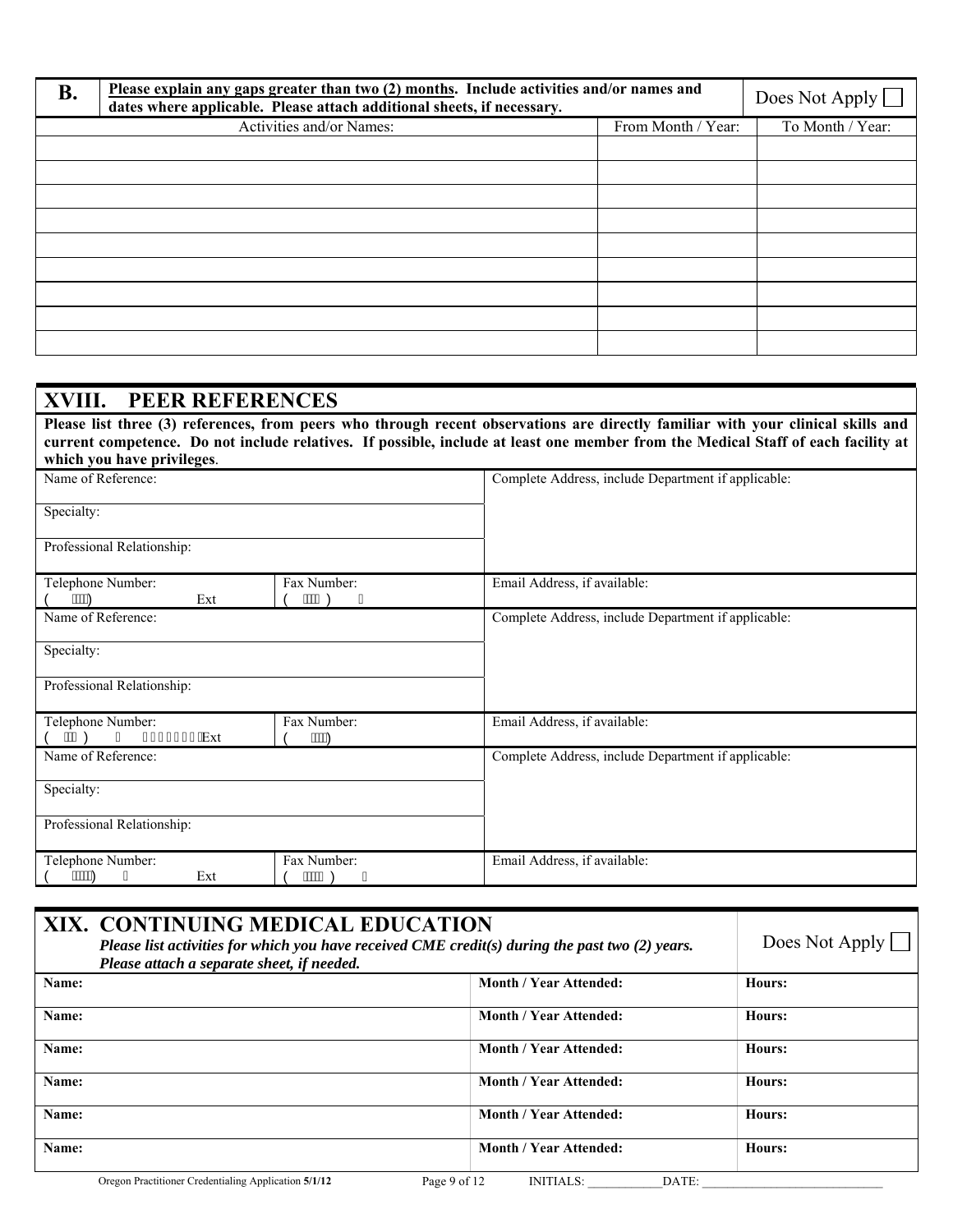| <b>B.</b> | Please explain any gaps greater than two (2) months. Include activities and/or names and<br>dates where applicable. Please attach additional sheets, if necessary. |                    |                  |
|-----------|--------------------------------------------------------------------------------------------------------------------------------------------------------------------|--------------------|------------------|
|           | Activities and/or Names:                                                                                                                                           | From Month / Year: | To Month / Year: |
|           |                                                                                                                                                                    |                    |                  |
|           |                                                                                                                                                                    |                    |                  |
|           |                                                                                                                                                                    |                    |                  |
|           |                                                                                                                                                                    |                    |                  |
|           |                                                                                                                                                                    |                    |                  |
|           |                                                                                                                                                                    |                    |                  |
|           |                                                                                                                                                                    |                    |                  |
|           |                                                                                                                                                                    |                    |                  |
|           |                                                                                                                                                                    |                    |                  |

### **XVIII. PEER REFERENCES**

**Please list three (3) references, from peers who through recent observations are directly familiar with your clinical skills and current competence. Do not include relatives. If possible, include at least one member from the Medical Staff of each facility at which you have privileges**.

| Name of Reference:                      |                        | Complete Address, include Department if applicable: |
|-----------------------------------------|------------------------|-----------------------------------------------------|
| Specialty:                              |                        |                                                     |
| Professional Relationship:              |                        |                                                     |
| Telephone Number:<br>ÄЖÀ<br>Ext         | Fax Number:<br>ÁÁÁÁ)   | Email Address, if available:                        |
| Name of Reference:                      |                        | Complete Address, include Department if applicable: |
| Specialty:                              |                        |                                                     |
| Professional Relationship:              |                        |                                                     |
| Telephone Number:<br>ÁÁÁÁÁÁÁÆxt<br>AAA) | Fax Number:<br>ÁÁÁÁ).  | Email Address, if available:                        |
| Name of Reference:                      |                        | Complete Address, include Department if applicable: |
| Specialty:                              |                        |                                                     |
| Professional Relationship:              |                        |                                                     |
| Telephone Number:<br>ÄÄÄÄ).<br>Ext      | Fax Number:<br>ÁÁÓÓÁ ) | Email Address, if available:                        |

|       | XIX. CONTINUING MEDICAL EDUCATION<br>Please list activities for which you have received CME credit(s) during the past two $(2)$ years.<br>Please attach a separate sheet, if needed. | Does Not Apply                |        |
|-------|--------------------------------------------------------------------------------------------------------------------------------------------------------------------------------------|-------------------------------|--------|
| Name: |                                                                                                                                                                                      | Month / Year Attended:        | Hours: |
| Name: |                                                                                                                                                                                      | <b>Month / Year Attended:</b> | Hours: |
| Name: |                                                                                                                                                                                      | Month / Year Attended:        | Hours: |
| Name: |                                                                                                                                                                                      | <b>Month / Year Attended:</b> | Hours: |
| Name: |                                                                                                                                                                                      | Month / Year Attended:        | Hours: |
| Name: |                                                                                                                                                                                      | <b>Month / Year Attended:</b> | Hours: |
|       | Oregon Practitioner Credentialing Application 5/1/12<br>Page 9 of 12                                                                                                                 | <b>INITIALS:</b><br>DATE:     |        |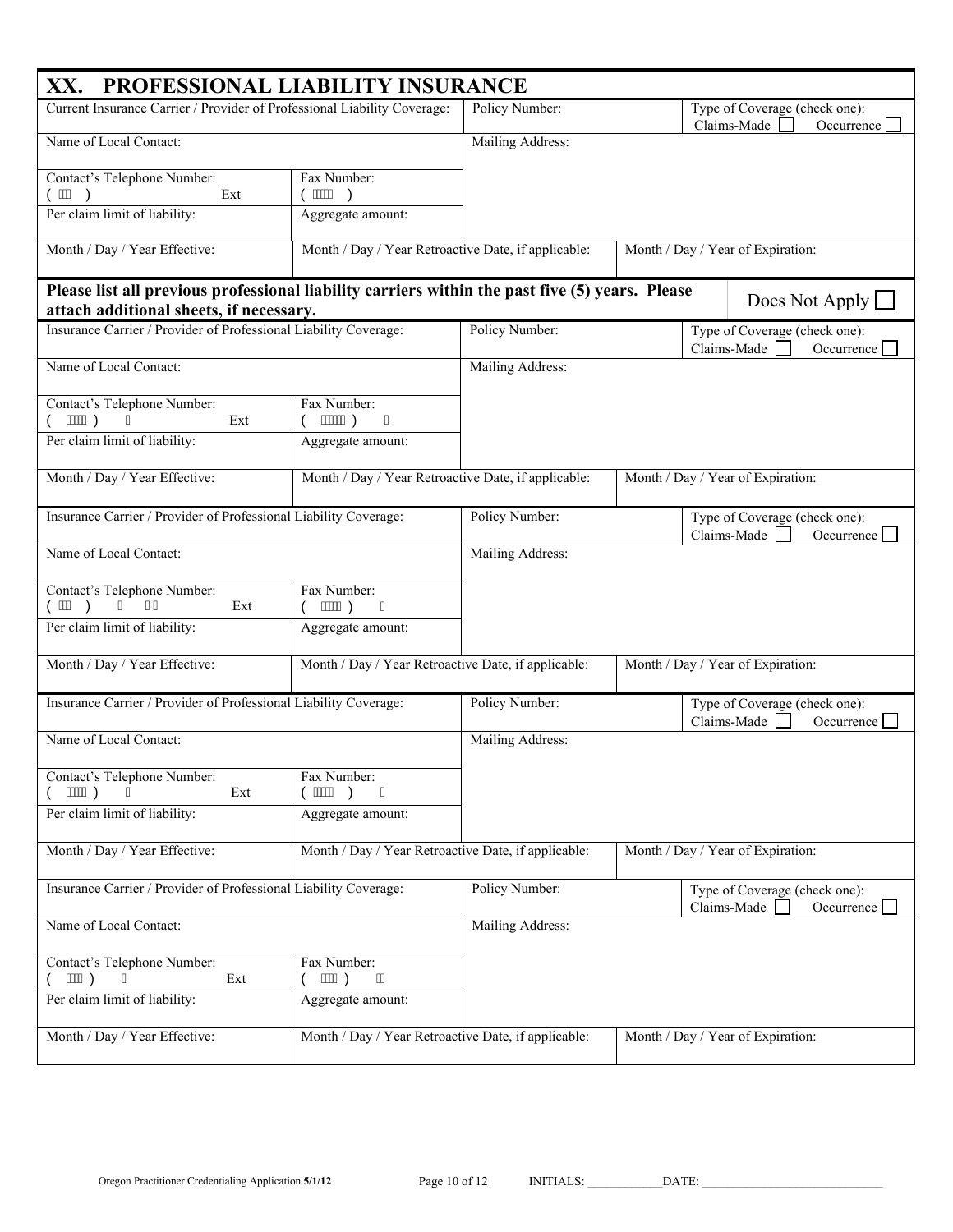| PROFESSIONAL LIABILITY INSURANCE<br>XX.                                                                                                    |                                                     |                  |                                                            |
|--------------------------------------------------------------------------------------------------------------------------------------------|-----------------------------------------------------|------------------|------------------------------------------------------------|
| Current Insurance Carrier / Provider of Professional Liability Coverage:                                                                   |                                                     | Policy Number:   | Type of Coverage (check one):<br>Claims-Made<br>Occurrence |
| Name of Local Contact:                                                                                                                     |                                                     | Mailing Address: |                                                            |
| Contact's Telephone Number:<br>$($ $\cancel{\text{AA}}$ $)$<br>Ext                                                                         | Fax Number:<br>ÁÁÁÁÁ)                               |                  |                                                            |
| Per claim limit of liability:                                                                                                              | Aggregate amount:                                   |                  |                                                            |
| Month / Day / Year Effective:                                                                                                              | Month / Day / Year Retroactive Date, if applicable: |                  | Month / Day / Year of Expiration:                          |
| Please list all previous professional liability carriers within the past five (5) years. Please<br>attach additional sheets, if necessary. |                                                     |                  | Does Not Apply                                             |
| Insurance Carrier / Provider of Professional Liability Coverage:                                                                           |                                                     | Policy Number:   | Type of Coverage (check one):<br>Claims-Made<br>Occurrence |
| Name of Local Contact:                                                                                                                     |                                                     | Mailing Address: |                                                            |
| Contact's Telephone Number:<br>ÁÁÓÁÁ)<br>Ext                                                                                               | Fax Number:<br>ÁÁÁÁÁA)                              |                  |                                                            |
| Per claim limit of liability:                                                                                                              | Aggregate amount:                                   |                  |                                                            |
| Month / Day / Year Effective:                                                                                                              | Month / Day / Year Retroactive Date, if applicable: |                  | Month / Day / Year of Expiration:                          |
| Insurance Carrier / Provider of Professional Liability Coverage:                                                                           |                                                     | Policy Number:   | Type of Coverage (check one):<br>Claims-Made<br>Occurrence |
| Name of Local Contact:                                                                                                                     |                                                     | Mailing Address: |                                                            |
| Contact's Telephone Number:<br>ÁÁ<br>$($ $\hat{A}$ $\hat{A}$ $)$<br>Ext                                                                    | Fax Number:<br>ÁÁÁÁN)<br>Á                          |                  |                                                            |
| Per claim limit of liability:                                                                                                              | Aggregate amount:                                   |                  |                                                            |
| Month / Day / Year Effective:                                                                                                              | Month / Day / Year Retroactive Date, if applicable: |                  | Month / Day / Year of Expiration:                          |
| Insurance Carrier / Provider of Professional Liability Coverage:                                                                           |                                                     | Policy Number:   | Type of Coverage (check one):<br>Claims-Made<br>Occurrence |
| Name of Local Contact:                                                                                                                     |                                                     | Mailing Address: |                                                            |
| Contact's Telephone Number:<br>ÁÁÁÁÁ)<br>Ext                                                                                               | Fax Number:<br>ÁÁÁÁÁ                                |                  |                                                            |
| Per claim limit of liability:                                                                                                              | Aggregate amount:                                   |                  |                                                            |
| Month / Day / Year Effective:                                                                                                              | Month / Day / Year Retroactive Date, if applicable: |                  | Month / Day / Year of Expiration:                          |
| Insurance Carrier / Provider of Professional Liability Coverage:                                                                           |                                                     | Policy Number:   | Type of Coverage (check one):<br>Claims-Made<br>Occurrence |
| Name of Local Contact:                                                                                                                     |                                                     | Mailing Address: |                                                            |
| Contact's Telephone Number:<br>ÁÁÁÁ)<br>Ext                                                                                                | Fax Number:<br>۰Á<br>ÁÁÁÁ)                          |                  |                                                            |
| Per claim limit of liability:                                                                                                              | Aggregate amount:                                   |                  |                                                            |
| Month / Day / Year Effective:                                                                                                              | Month / Day / Year Retroactive Date, if applicable: |                  | Month / Day / Year of Expiration:                          |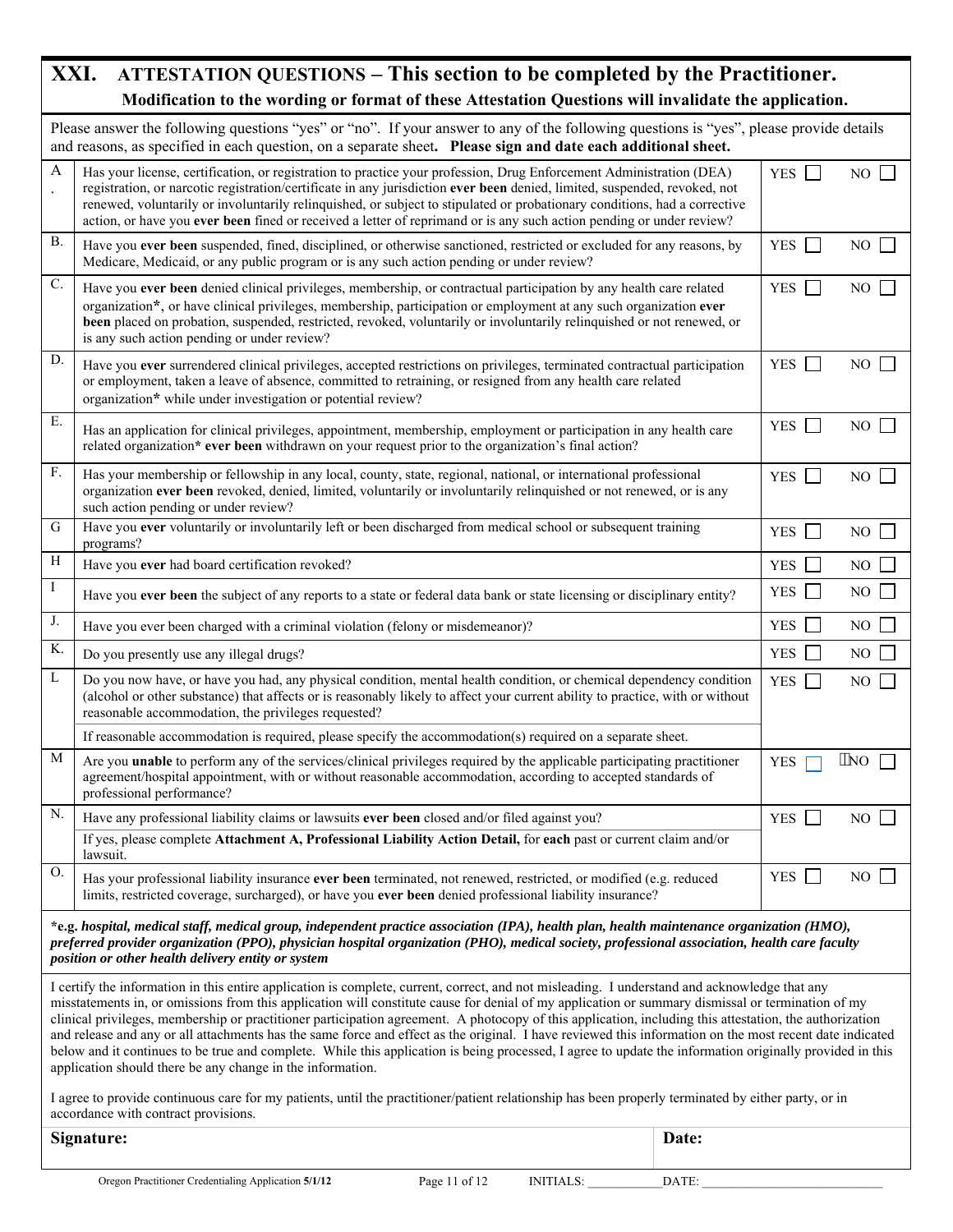### **XXI. ATTESTATION QUESTIONS – This section to be completed by the Practitioner. Modification to the wording or format of these Attestation Questions will invalidate the application.**

|           | Please answer the following questions "yes" or "no". If your answer to any of the following questions is "yes", please provide details                                                                                                                                                                                                                                                                                                                                                                |                                           |     |  |  |  |
|-----------|-------------------------------------------------------------------------------------------------------------------------------------------------------------------------------------------------------------------------------------------------------------------------------------------------------------------------------------------------------------------------------------------------------------------------------------------------------------------------------------------------------|-------------------------------------------|-----|--|--|--|
|           | and reasons, as specified in each question, on a separate sheet. Please sign and date each additional sheet.                                                                                                                                                                                                                                                                                                                                                                                          |                                           |     |  |  |  |
| A         | Has your license, certification, or registration to practice your profession, Drug Enforcement Administration (DEA)<br>registration, or narcotic registration/certificate in any jurisdiction ever been denied, limited, suspended, revoked, not<br>renewed, voluntarily or involuntarily relinquished, or subject to stipulated or probationary conditions, had a corrective<br>action, or have you ever been fined or received a letter of reprimand or is any such action pending or under review? | <b>YES</b>                                | NO  |  |  |  |
| <b>B.</b> | Have you ever been suspended, fined, disciplined, or otherwise sanctioned, restricted or excluded for any reasons, by<br>Medicare, Medicaid, or any public program or is any such action pending or under review?                                                                                                                                                                                                                                                                                     | <b>YES</b>                                | NO  |  |  |  |
| $C$ .     | Have you ever been denied clinical privileges, membership, or contractual participation by any health care related<br>organization*, or have clinical privileges, membership, participation or employment at any such organization ever<br>been placed on probation, suspended, restricted, revoked, voluntarily or involuntarily relinquished or not renewed, or<br>is any such action pending or under review?                                                                                      | <b>YES</b><br>$\mathcal{L}_{\mathcal{A}}$ | NO. |  |  |  |
| D.        | Have you ever surrendered clinical privileges, accepted restrictions on privileges, terminated contractual participation<br>or employment, taken a leave of absence, committed to retraining, or resigned from any health care related<br>organization* while under investigation or potential review?                                                                                                                                                                                                | $YES$ $\Box$                              | NO  |  |  |  |
| E.        | Has an application for clinical privileges, appointment, membership, employment or participation in any health care<br>related organization* ever been withdrawn on your request prior to the organization's final action?                                                                                                                                                                                                                                                                            | YES                                       | NO  |  |  |  |
| F.        | Has your membership or fellowship in any local, county, state, regional, national, or international professional<br>organization ever been revoked, denied, limited, voluntarily or involuntarily relinquished or not renewed, or is any<br>such action pending or under review?                                                                                                                                                                                                                      | $YES$ $\Box$                              | NO  |  |  |  |
| G         | Have you ever voluntarily or involuntarily left or been discharged from medical school or subsequent training<br>programs?                                                                                                                                                                                                                                                                                                                                                                            | YES I                                     | NO  |  |  |  |
| H         | Have you ever had board certification revoked?                                                                                                                                                                                                                                                                                                                                                                                                                                                        | <b>YES</b>                                | NO  |  |  |  |
| $\bf I$   | Have you ever been the subject of any reports to a state or federal data bank or state licensing or disciplinary entity?                                                                                                                                                                                                                                                                                                                                                                              | <b>YES</b>                                | NO  |  |  |  |
| J.        | Have you ever been charged with a criminal violation (felony or misdemeanor)?                                                                                                                                                                                                                                                                                                                                                                                                                         | <b>YES</b><br>$\mathcal{L}$               | NO  |  |  |  |
| K.        | Do you presently use any illegal drugs?                                                                                                                                                                                                                                                                                                                                                                                                                                                               | <b>YES</b>                                | NO  |  |  |  |
| L         | Do you now have, or have you had, any physical condition, mental health condition, or chemical dependency condition<br>(alcohol or other substance) that affects or is reasonably likely to affect your current ability to practice, with or without<br>reasonable accommodation, the privileges requested?                                                                                                                                                                                           | <b>YES</b>                                | NO  |  |  |  |
|           | If reasonable accommodation is required, please specify the accommodation(s) required on a separate sheet.                                                                                                                                                                                                                                                                                                                                                                                            |                                           |     |  |  |  |
| M         | Are you unable to perform any of the services/clinical privileges required by the applicable participating practitioner<br>agreement/hospital appointment, with or without reasonable accommodation, according to accepted standards of<br>professional performance?                                                                                                                                                                                                                                  | <b>YES</b>                                | "NO |  |  |  |
| N.        | Have any professional liability claims or lawsuits ever been closed and/or filed against you?                                                                                                                                                                                                                                                                                                                                                                                                         | <b>YES</b><br>$\mathsf{L}$                | NO  |  |  |  |
|           | If yes, please complete Attachment A, Professional Liability Action Detail, for each past or current claim and/or<br>lawsuit.                                                                                                                                                                                                                                                                                                                                                                         |                                           |     |  |  |  |
| Ο.        | Has your professional liability insurance ever been terminated, not renewed, restricted, or modified (e.g. reduced<br>limits, restricted coverage, surcharged), or have you ever been denied professional liability insurance?                                                                                                                                                                                                                                                                        | <b>YES</b><br>$\mathsf{L}$                | NO  |  |  |  |
|           | *e.g. hospital, medical staff, medical group, independent practice association (IPA), health plan, health maintenance organization (HMO),                                                                                                                                                                                                                                                                                                                                                             |                                           |     |  |  |  |

*preferred provider organization (PPO), physician hospital organization (PHO), medical society, professional association, health care faculty position or other health delivery entity or system*

I certify the information in this entire application is complete, current, correct, and not misleading. I understand and acknowledge that any misstatements in, or omissions from this application will constitute cause for denial of my application or summary dismissal or termination of my clinical privileges, membership or practitioner participation agreement. A photocopy of this application, including this attestation, the authorization and release and any or all attachments has the same force and effect as the original. I have reviewed this information on the most recent date indicated below and it continues to be true and complete. While this application is being processed, I agree to update the information originally provided in this application should there be any change in the information.

I agree to provide continuous care for my patients, until the practitioner/patient relationship has been properly terminated by either party, or in accordance with contract provisions.

**Signature:** Date: **Date: Date: Date: Date: Date: Date: Date: Date: Date: Date: Date: Date: Date: Date: Date: Date: Date: Date: Date: Date: Date: Date: Date: Date: Date: Da**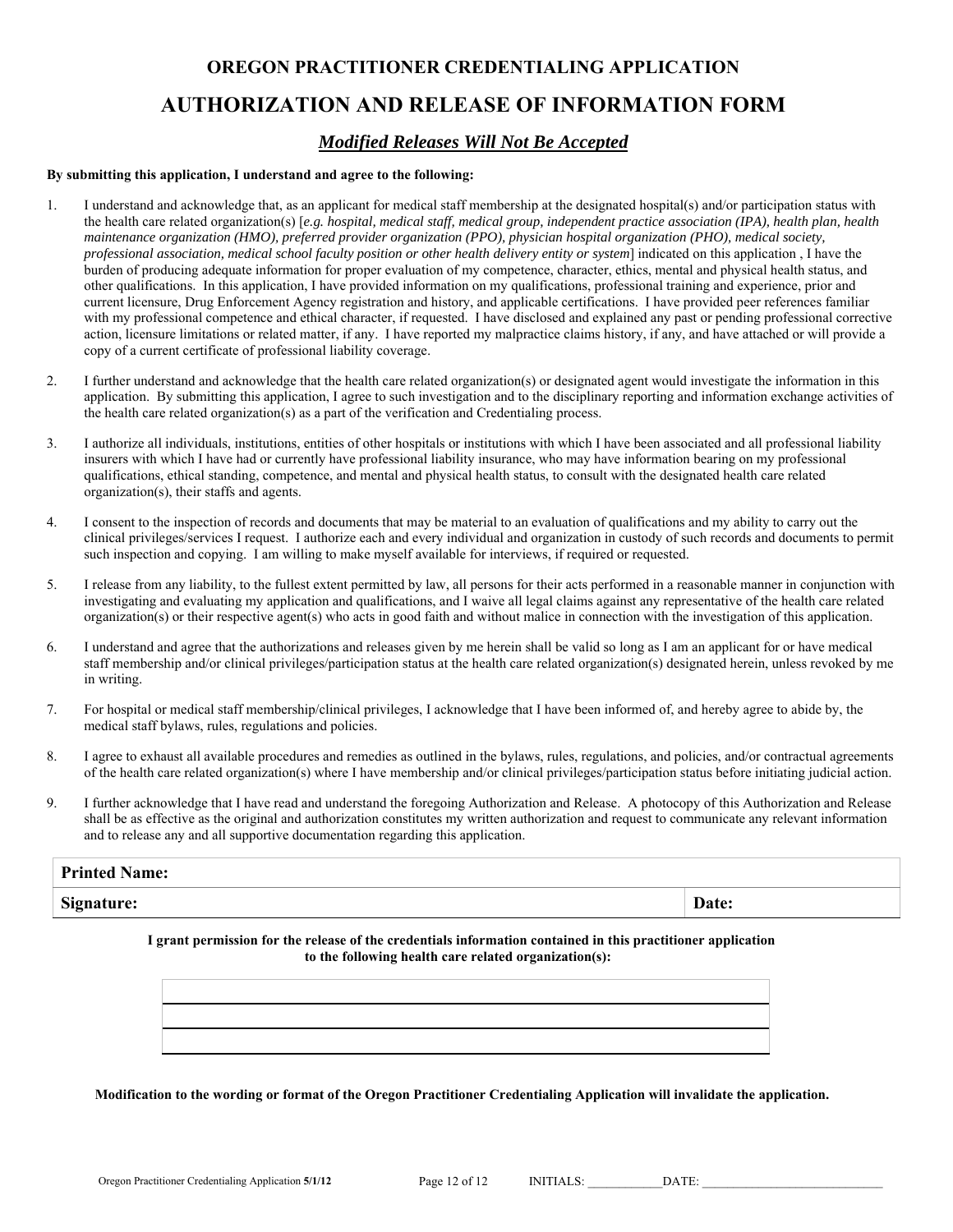#### **OREGON PRACTITIONER CREDENTIALING APPLICATION**

## **AUTHORIZATION AND RELEASE OF INFORMATION FORM**

#### *Modified Releases Will Not Be Accepted*

#### **By submitting this application, I understand and agree to the following:**

- 1. I understand and acknowledge that, as an applicant for medical staff membership at the designated hospital(s) and/or participation status with the health care related organization(s) [*e.g. hospital, medical staff, medical group, independent practice association (IPA), health plan, health maintenance organization (HMO), preferred provider organization (PPO), physician hospital organization (PHO), medical society, professional association, medical school faculty position or other health delivery entity or system*] indicated on this application , I have the burden of producing adequate information for proper evaluation of my competence, character, ethics, mental and physical health status, and other qualifications. In this application, I have provided information on my qualifications, professional training and experience, prior and current licensure, Drug Enforcement Agency registration and history, and applicable certifications. I have provided peer references familiar with my professional competence and ethical character, if requested. I have disclosed and explained any past or pending professional corrective action, licensure limitations or related matter, if any. I have reported my malpractice claims history, if any, and have attached or will provide a copy of a current certificate of professional liability coverage.
- 2. I further understand and acknowledge that the health care related organization(s) or designated agent would investigate the information in this application. By submitting this application, I agree to such investigation and to the disciplinary reporting and information exchange activities of the health care related organization(s) as a part of the verification and Credentialing process.
- 3. I authorize all individuals, institutions, entities of other hospitals or institutions with which I have been associated and all professional liability insurers with which I have had or currently have professional liability insurance, who may have information bearing on my professional qualifications, ethical standing, competence, and mental and physical health status, to consult with the designated health care related organization(s), their staffs and agents.
- 4. I consent to the inspection of records and documents that may be material to an evaluation of qualifications and my ability to carry out the clinical privileges/services I request. I authorize each and every individual and organization in custody of such records and documents to permit such inspection and copying. I am willing to make myself available for interviews, if required or requested.
- 5. I release from any liability, to the fullest extent permitted by law, all persons for their acts performed in a reasonable manner in conjunction with investigating and evaluating my application and qualifications, and I waive all legal claims against any representative of the health care related organization(s) or their respective agent(s) who acts in good faith and without malice in connection with the investigation of this application.
- 6. I understand and agree that the authorizations and releases given by me herein shall be valid so long as I am an applicant for or have medical staff membership and/or clinical privileges/participation status at the health care related organization(s) designated herein, unless revoked by me in writing.
- 7. For hospital or medical staff membership/clinical privileges, I acknowledge that I have been informed of, and hereby agree to abide by, the medical staff bylaws, rules, regulations and policies.
- 8. I agree to exhaust all available procedures and remedies as outlined in the bylaws, rules, regulations, and policies, and/or contractual agreements of the health care related organization(s) where I have membership and/or clinical privileges/participation status before initiating judicial action.
- 9. I further acknowledge that I have read and understand the foregoing Authorization and Release. A photocopy of this Authorization and Release shall be as effective as the original and authorization constitutes my written authorization and request to communicate any relevant information and to release any and all supportive documentation regarding this application.

# **Printed Name: Signature: Date:**

**I grant permission for the release of the credentials information contained in this practitioner application to the following health care related organization(s):** 

**Modification to the wording or format of the Oregon Practitioner Credentialing Application will invalidate the application.**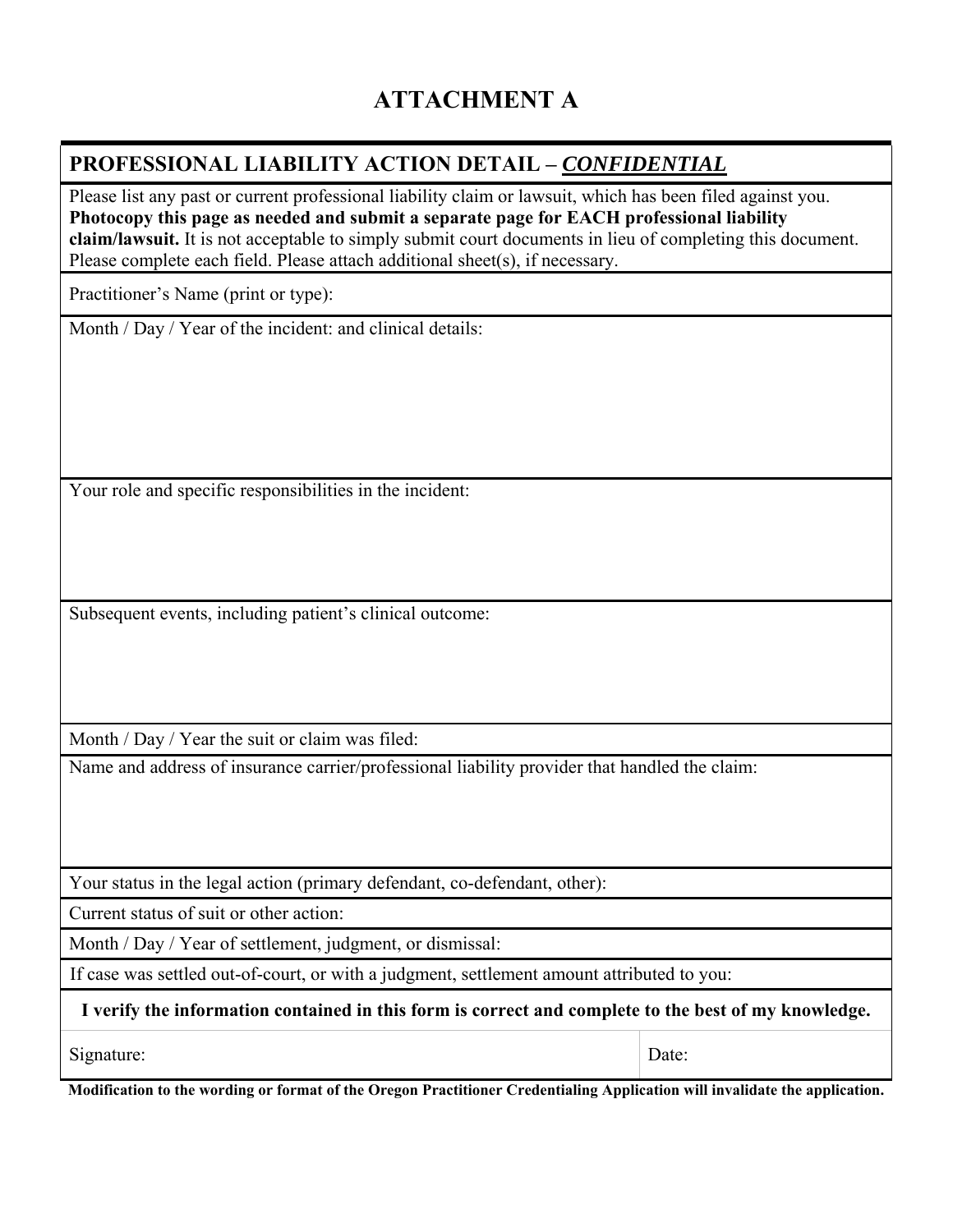# **ATTACHMENT A**

# **PROFESSIONAL LIABILITY ACTION DETAIL –** *CONFIDENTIAL*

Please list any past or current professional liability claim or lawsuit, which has been filed against you. **Photocopy this page as needed and submit a separate page for EACH professional liability claim/lawsuit.** It is not acceptable to simply submit court documents in lieu of completing this document. Please complete each field. Please attach additional sheet(s), if necessary.

Practitioner's Name (print or type):

Month / Day / Year of the incident: and clinical details:

Your role and specific responsibilities in the incident:

Subsequent events, including patient's clinical outcome:

Month / Day / Year the suit or claim was filed:

Name and address of insurance carrier/professional liability provider that handled the claim:

Your status in the legal action (primary defendant, co-defendant, other):

Current status of suit or other action:

Month / Day / Year of settlement, judgment, or dismissal:

If case was settled out-of-court, or with a judgment, settlement amount attributed to you:

**I verify the information contained in this form is correct and complete to the best of my knowledge.**

Signature: Date:

**Modification to the wording or format of the Oregon Practitioner Credentialing Application will invalidate the application.**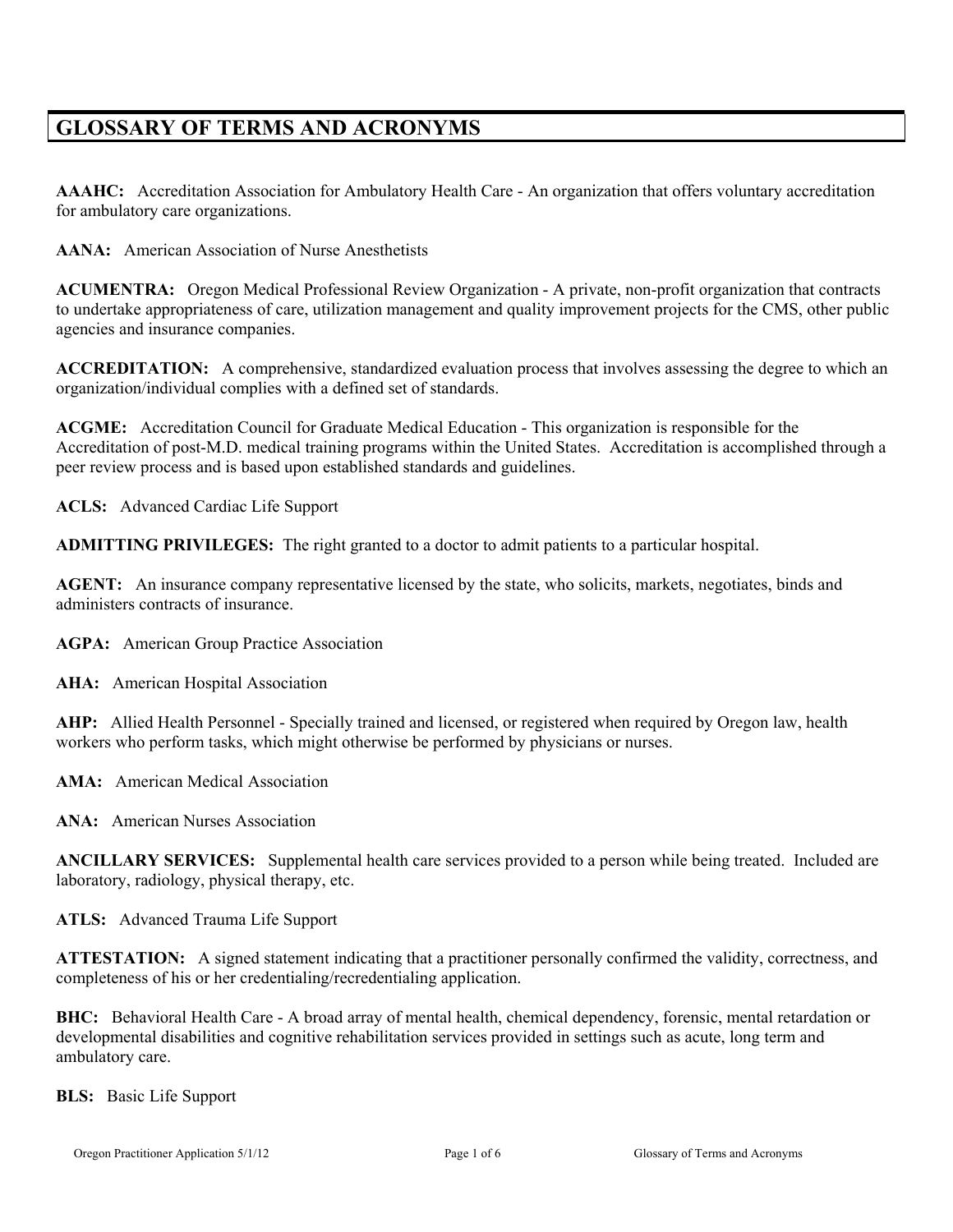# **GLOSSARY OF TERMS AND ACRONYMS**

**AAAHC:** Accreditation Association for Ambulatory Health Care - An organization that offers voluntary accreditation for ambulatory care organizations.

**AANA:** American Association of Nurse Anesthetists

**ACUMENTRA:** Oregon Medical Professional Review Organization - A private, non-profit organization that contracts to undertake appropriateness of care, utilization management and quality improvement projects for the CMS, other public agencies and insurance companies.

**ACCREDITATION:** A comprehensive, standardized evaluation process that involves assessing the degree to which an organization/individual complies with a defined set of standards.

**ACGME:** Accreditation Council for Graduate Medical Education - This organization is responsible for the Accreditation of post-M.D. medical training programs within the United States. Accreditation is accomplished through a peer review process and is based upon established standards and guidelines.

**ACLS:** Advanced Cardiac Life Support

**ADMITTING PRIVILEGES:** The right granted to a doctor to admit patients to a particular hospital.

**AGENT:** An insurance company representative licensed by the state, who solicits, markets, negotiates, binds and administers contracts of insurance.

**AGPA:** American Group Practice Association

**AHA:** American Hospital Association

**AHP:** Allied Health Personnel - Specially trained and licensed, or registered when required by Oregon law, health workers who perform tasks, which might otherwise be performed by physicians or nurses.

**AMA:** American Medical Association

**ANA:** American Nurses Association

**ANCILLARY SERVICES:** Supplemental health care services provided to a person while being treated. Included are laboratory, radiology, physical therapy, etc.

**ATLS:** Advanced Trauma Life Support

**ATTESTATION:** A signed statement indicating that a practitioner personally confirmed the validity, correctness, and completeness of his or her credentialing/recredentialing application.

**BHC:** Behavioral Health Care - A broad array of mental health, chemical dependency, forensic, mental retardation or developmental disabilities and cognitive rehabilitation services provided in settings such as acute, long term and ambulatory care.

**BLS:** Basic Life Support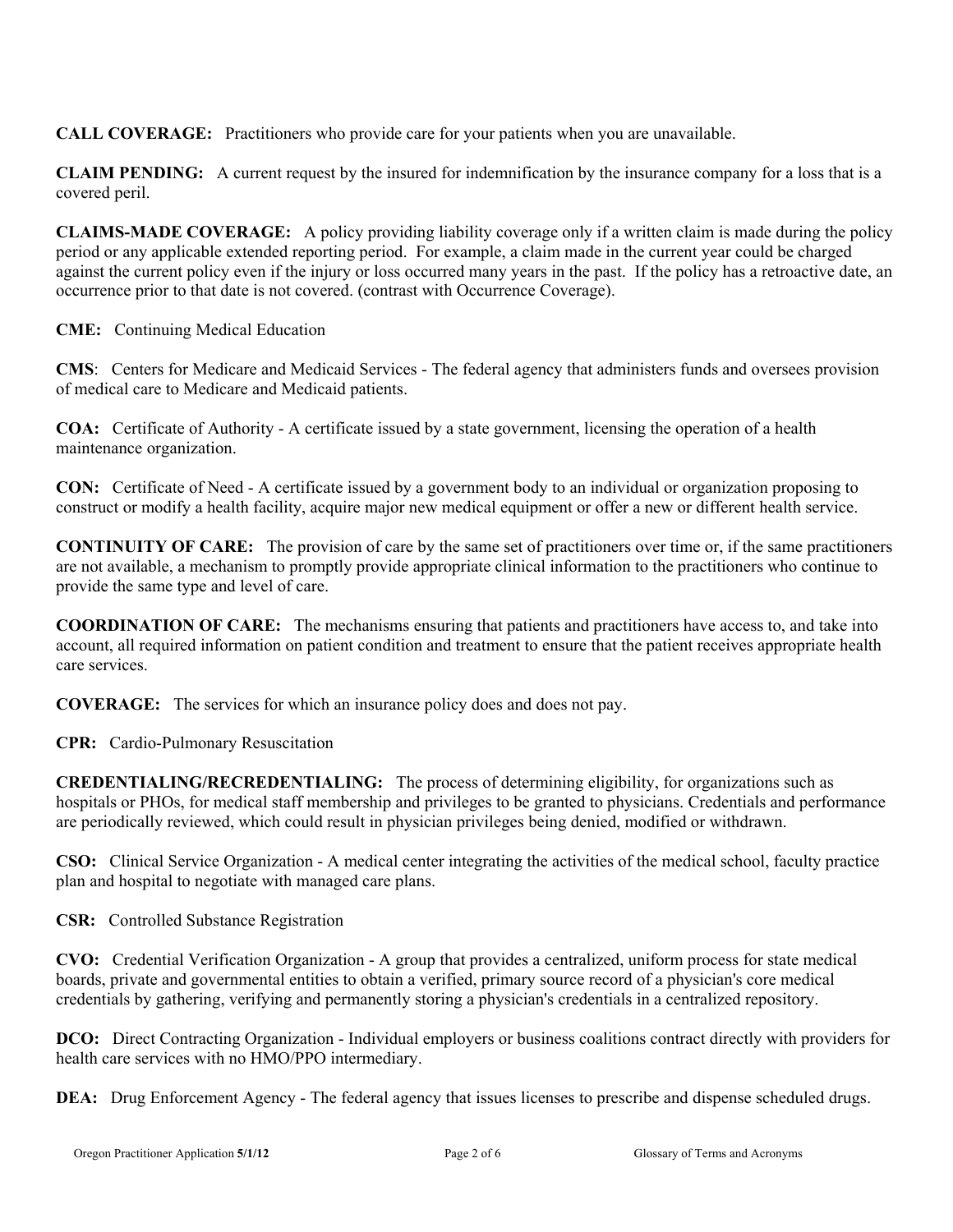**CALL COVERAGE:** Practitioners who provide care for your patients when you are unavailable.

**CLAIM PENDING:** A current request by the insured for indemnification by the insurance company for a loss that is a covered peril.

**CLAIMS-MADE COVERAGE:** A policy providing liability coverage only if a written claim is made during the policy period or any applicable extended reporting period. For example, a claim made in the current year could be charged against the current policy even if the injury or loss occurred many years in the past. If the policy has a retroactive date, an occurrence prior to that date is not covered. (contrast with Occurrence Coverage).

**CME:** Continuing Medical Education

**CMS**: Centers for Medicare and Medicaid Services - The federal agency that administers funds and oversees provision of medical care to Medicare and Medicaid patients.

**COA:** Certificate of Authority - A certificate issued by a state government, licensing the operation of a health maintenance organization.

**CON:** Certificate of Need - A certificate issued by a government body to an individual or organization proposing to construct or modify a health facility, acquire major new medical equipment or offer a new or different health service.

**CONTINUITY OF CARE:** The provision of care by the same set of practitioners over time or, if the same practitioners are not available, a mechanism to promptly provide appropriate clinical information to the practitioners who continue to provide the same type and level of care.

**COORDINATION OF CARE:** The mechanisms ensuring that patients and practitioners have access to, and take into account, all required information on patient condition and treatment to ensure that the patient receives appropriate health care services.

**COVERAGE:** The services for which an insurance policy does and does not pay.

**CPR:** Cardio-Pulmonary Resuscitation

**CREDENTIALING/RECREDENTIALING:** The process of determining eligibility, for organizations such as hospitals or PHOs, for medical staff membership and privileges to be granted to physicians. Credentials and performance are periodically reviewed, which could result in physician privileges being denied, modified or withdrawn.

**CSO:** Clinical Service Organization - A medical center integrating the activities of the medical school, faculty practice plan and hospital to negotiate with managed care plans.

**CSR:** Controlled Substance Registration

**CVO:** Credential Verification Organization - A group that provides a centralized, uniform process for state medical boards, private and governmental entities to obtain a verified, primary source record of a physician's core medical credentials by gathering, verifying and permanently storing a physician's credentials in a centralized repository.

**DCO:** Direct Contracting Organization - Individual employers or business coalitions contract directly with providers for health care services with no HMO/PPO intermediary.

**DEA:** Drug Enforcement Agency - The federal agency that issues licenses to prescribe and dispense scheduled drugs.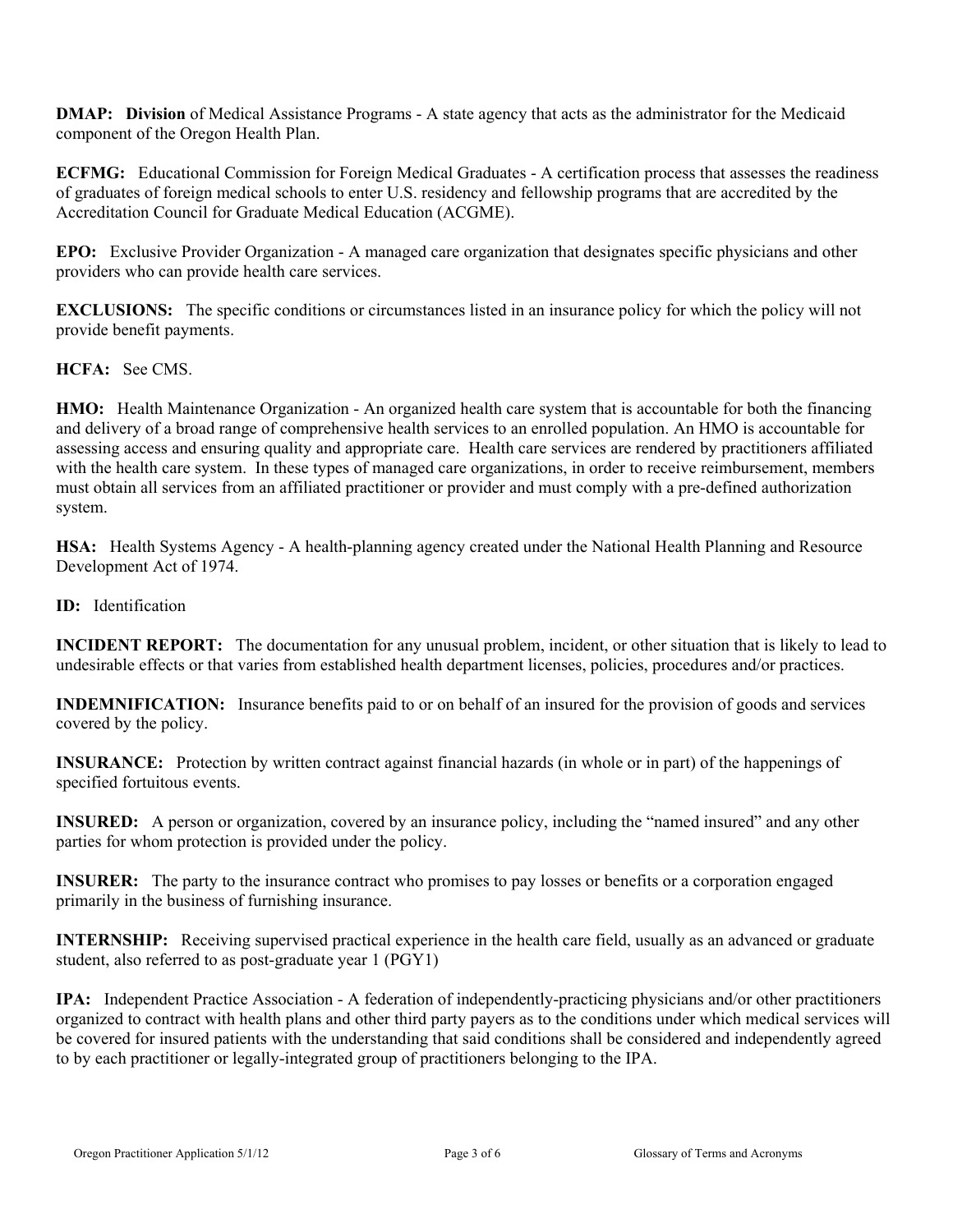**DMAP: Division** of Medical Assistance Programs - A state agency that acts as the administrator for the Medicaid component of the Oregon Health Plan.

**ECFMG:** Educational Commission for Foreign Medical Graduates - A certification process that assesses the readiness of graduates of foreign medical schools to enter U.S. residency and fellowship programs that are accredited by the Accreditation Council for Graduate Medical Education (ACGME).

**EPO:** Exclusive Provider Organization - A managed care organization that designates specific physicians and other providers who can provide health care services.

**EXCLUSIONS:** The specific conditions or circumstances listed in an insurance policy for which the policy will not provide benefit payments.

**HCFA:** See CMS.

**HMO:** Health Maintenance Organization - An organized health care system that is accountable for both the financing and delivery of a broad range of comprehensive health services to an enrolled population. An HMO is accountable for assessing access and ensuring quality and appropriate care. Health care services are rendered by practitioners affiliated with the health care system. In these types of managed care organizations, in order to receive reimbursement, members must obtain all services from an affiliated practitioner or provider and must comply with a pre-defined authorization system.

**HSA:** Health Systems Agency - A health-planning agency created under the National Health Planning and Resource Development Act of 1974.

**ID:** Identification

**INCIDENT REPORT:** The documentation for any unusual problem, incident, or other situation that is likely to lead to undesirable effects or that varies from established health department licenses, policies, procedures and/or practices.

**INDEMNIFICATION:** Insurance benefits paid to or on behalf of an insured for the provision of goods and services covered by the policy.

**INSURANCE:** Protection by written contract against financial hazards (in whole or in part) of the happenings of specified fortuitous events.

**INSURED:** A person or organization, covered by an insurance policy, including the "named insured" and any other parties for whom protection is provided under the policy.

**INSURER:** The party to the insurance contract who promises to pay losses or benefits or a corporation engaged primarily in the business of furnishing insurance.

**INTERNSHIP:** Receiving supervised practical experience in the health care field, usually as an advanced or graduate student, also referred to as post-graduate year 1 (PGY1)

**IPA:** Independent Practice Association - A federation of independently-practicing physicians and/or other practitioners organized to contract with health plans and other third party payers as to the conditions under which medical services will be covered for insured patients with the understanding that said conditions shall be considered and independently agreed to by each practitioner or legally-integrated group of practitioners belonging to the IPA.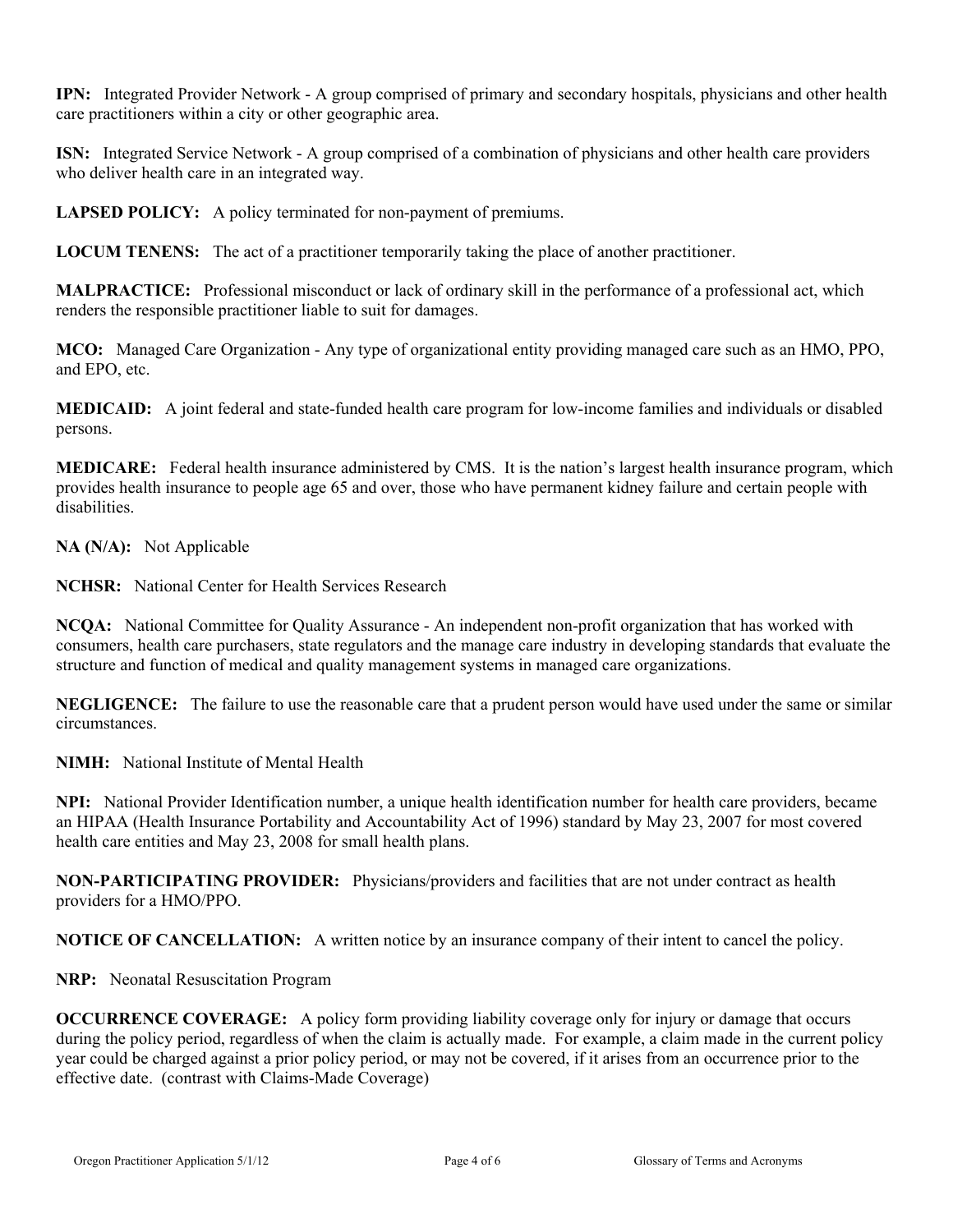**IPN:** Integrated Provider Network - A group comprised of primary and secondary hospitals, physicians and other health care practitioners within a city or other geographic area.

**ISN:** Integrated Service Network - A group comprised of a combination of physicians and other health care providers who deliver health care in an integrated way.

**LAPSED POLICY:** A policy terminated for non-payment of premiums.

**LOCUM TENENS:** The act of a practitioner temporarily taking the place of another practitioner.

**MALPRACTICE:** Professional misconduct or lack of ordinary skill in the performance of a professional act, which renders the responsible practitioner liable to suit for damages.

**MCO:** Managed Care Organization - Any type of organizational entity providing managed care such as an HMO, PPO, and EPO, etc.

**MEDICAID:** A joint federal and state-funded health care program for low-income families and individuals or disabled persons.

**MEDICARE:** Federal health insurance administered by CMS. It is the nation's largest health insurance program, which provides health insurance to people age 65 and over, those who have permanent kidney failure and certain people with disabilities.

**NA (N/A):** Not Applicable

**NCHSR:** National Center for Health Services Research

**NCQA:** National Committee for Quality Assurance - An independent non-profit organization that has worked with consumers, health care purchasers, state regulators and the manage care industry in developing standards that evaluate the structure and function of medical and quality management systems in managed care organizations.

**NEGLIGENCE:** The failure to use the reasonable care that a prudent person would have used under the same or similar circumstances.

**NIMH:** National Institute of Mental Health

**NPI:** National Provider Identification number, a unique health identification number for health care providers, became an HIPAA (Health Insurance Portability and Accountability Act of 1996) standard by May 23, 2007 for most covered health care entities and May 23, 2008 for small health plans.

**NON-PARTICIPATING PROVIDER:** Physicians/providers and facilities that are not under contract as health providers for a HMO/PPO.

**NOTICE OF CANCELLATION:** A written notice by an insurance company of their intent to cancel the policy.

**NRP:** Neonatal Resuscitation Program

**OCCURRENCE COVERAGE:** A policy form providing liability coverage only for injury or damage that occurs during the policy period, regardless of when the claim is actually made. For example, a claim made in the current policy year could be charged against a prior policy period, or may not be covered, if it arises from an occurrence prior to the effective date. (contrast with Claims-Made Coverage)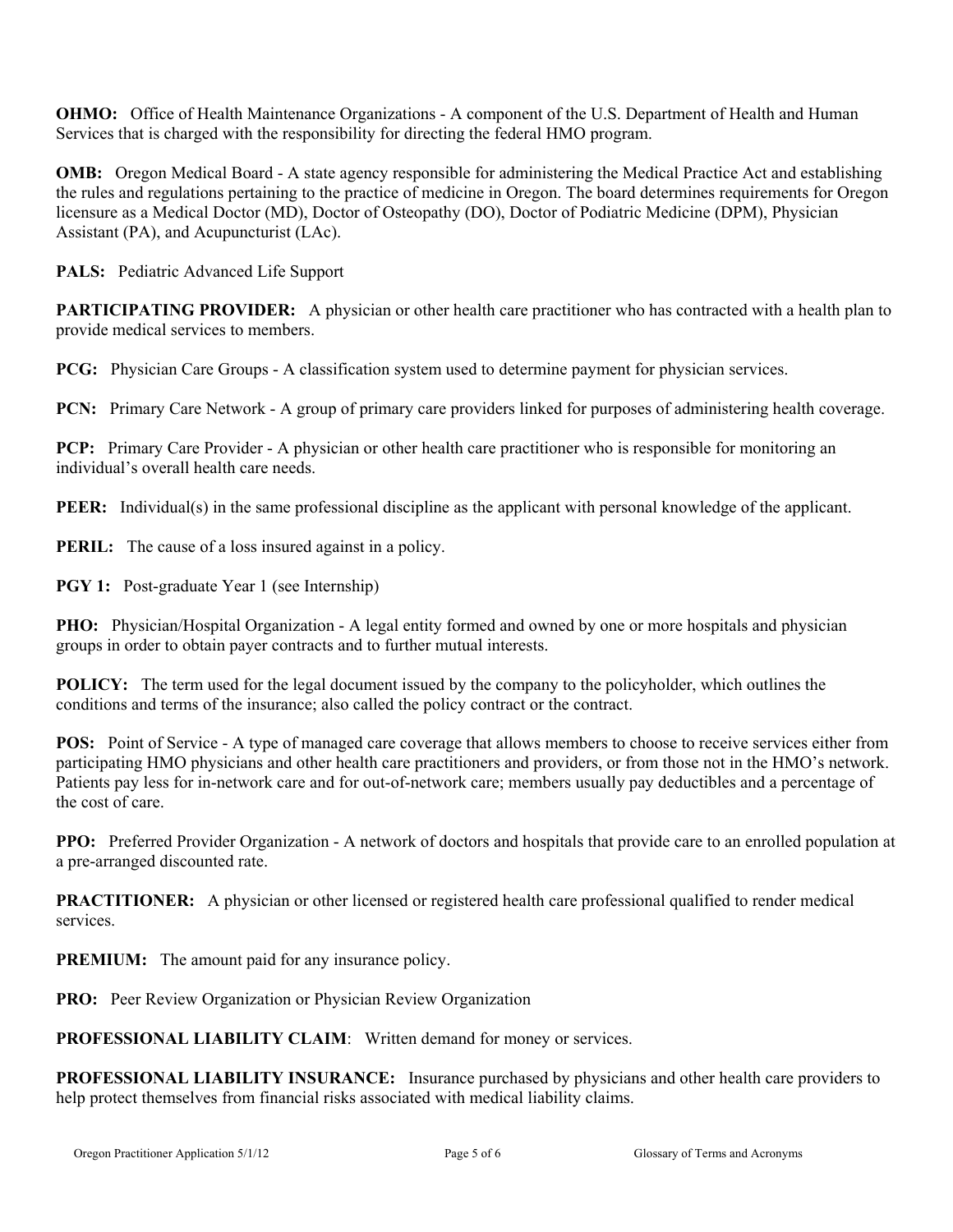**OHMO:** Office of Health Maintenance Organizations - A component of the U.S. Department of Health and Human Services that is charged with the responsibility for directing the federal HMO program.

**OMB:** Oregon Medical Board - A state agency responsible for administering the Medical Practice Act and establishing the rules and regulations pertaining to the practice of medicine in Oregon. The board determines requirements for Oregon licensure as a Medical Doctor (MD), Doctor of Osteopathy (DO), Doctor of Podiatric Medicine (DPM), Physician Assistant (PA), and Acupuncturist (LAc).

**PALS:** Pediatric Advanced Life Support

**PARTICIPATING PROVIDER:** A physician or other health care practitioner who has contracted with a health plan to provide medical services to members.

**PCG:** Physician Care Groups - A classification system used to determine payment for physician services.

**PCN:** Primary Care Network - A group of primary care providers linked for purposes of administering health coverage.

**PCP:** Primary Care Provider - A physician or other health care practitioner who is responsible for monitoring an individual's overall health care needs.

**PEER:** Individual(s) in the same professional discipline as the applicant with personal knowledge of the applicant.

**PERIL:** The cause of a loss insured against in a policy.

**PGY 1:** Post-graduate Year 1 (see Internship)

**PHO:** Physician/Hospital Organization - A legal entity formed and owned by one or more hospitals and physician groups in order to obtain payer contracts and to further mutual interests.

**POLICY:** The term used for the legal document issued by the company to the policyholder, which outlines the conditions and terms of the insurance; also called the policy contract or the contract.

**POS:** Point of Service - A type of managed care coverage that allows members to choose to receive services either from participating HMO physicians and other health care practitioners and providers, or from those not in the HMO's network. Patients pay less for in-network care and for out-of-network care; members usually pay deductibles and a percentage of the cost of care.

**PPO:** Preferred Provider Organization - A network of doctors and hospitals that provide care to an enrolled population at a pre-arranged discounted rate.

**PRACTITIONER:** A physician or other licensed or registered health care professional qualified to render medical services.

**PREMIUM:** The amount paid for any insurance policy.

**PRO:** Peer Review Organization or Physician Review Organization

**PROFESSIONAL LIABILITY CLAIM**: Written demand for money or services.

**PROFESSIONAL LIABILITY INSURANCE:** Insurance purchased by physicians and other health care providers to help protect themselves from financial risks associated with medical liability claims.